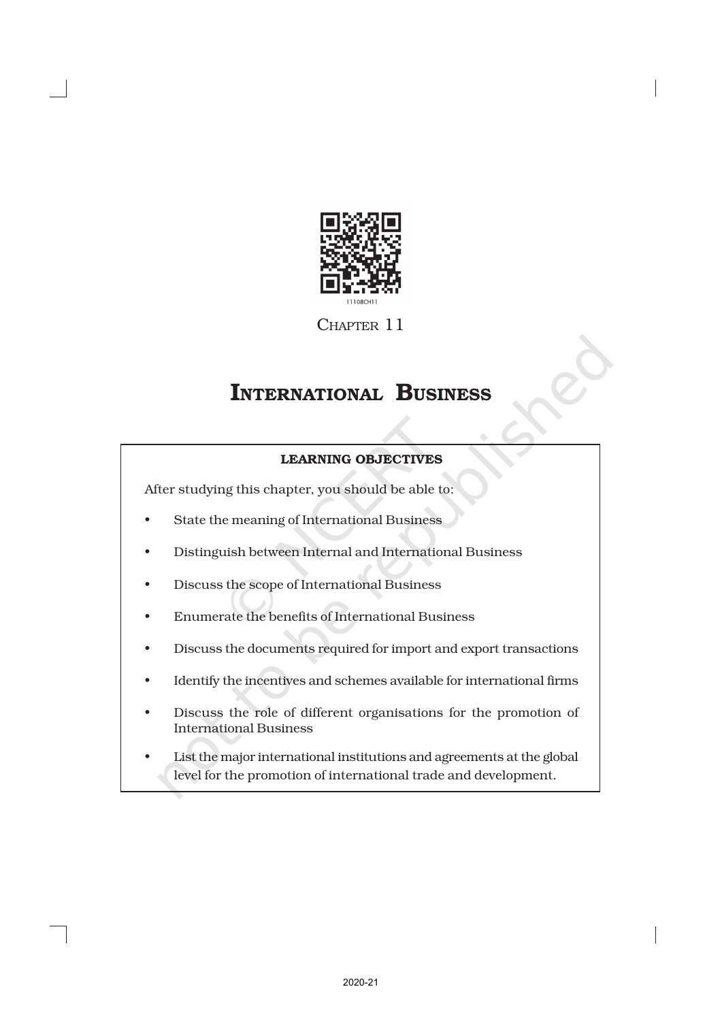

CHAPTER 11

# INTERNATIONAL BUSINESS

## LEARNING OBJECTIVES

After studying this chapter, you should be able to:

- State the meaning of International Business
- Distinguish between Internal and International Business
- Discuss the scope of International Business
- Enumerate the benefits of International Business
- Discuss the documents required for import and export transactions
- Identify the incentives and schemes available for international firms
- Discuss the role of different organisations for the promotion of International Business
- List the major international institutions and agreements at the global level for the promotion of international trade and development.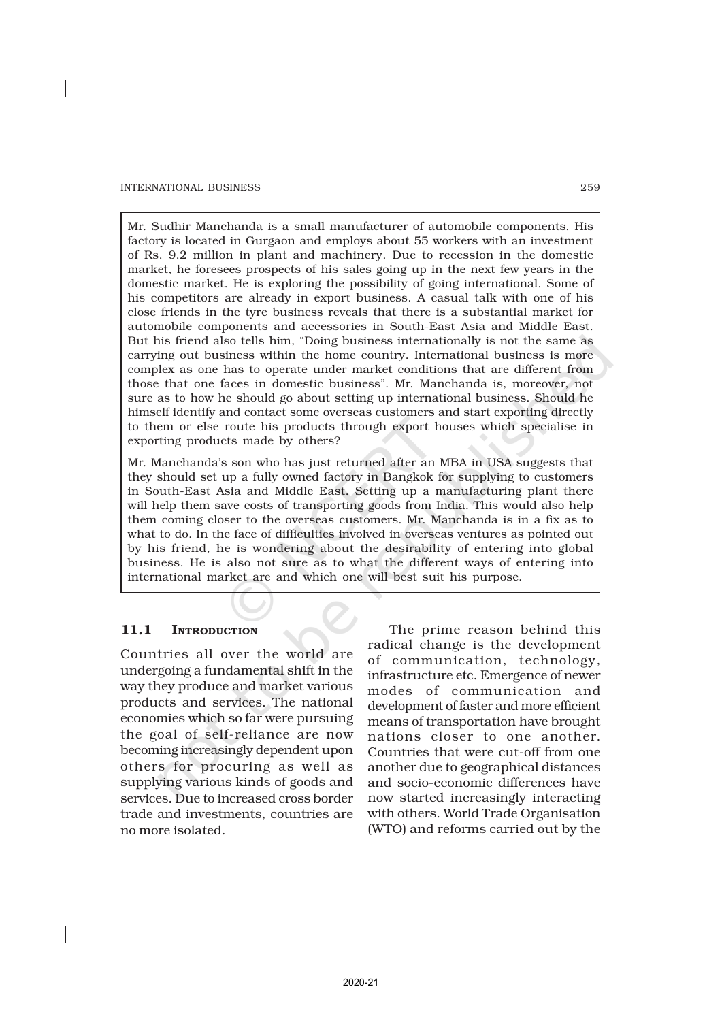Mr. Sudhir Manchanda is a small manufacturer of automobile components. His factory is located in Gurgaon and employs about 55 workers with an investment of Rs. 9.2 million in plant and machinery. Due to recession in the domestic market, he foresees prospects of his sales going up in the next few years in the domestic market. He is exploring the possibility of going international. Some of his competitors are already in export business. A casual talk with one of his close friends in the tyre business reveals that there is a substantial market for automobile components and accessories in South-East Asia and Middle East. But his friend also tells him, "Doing business internationally is not the same as carrying out business within the home country. International business is more complex as one has to operate under market conditions that are different from those that one faces in domestic business". Mr. Manchanda is, moreover, not sure as to how he should go about setting up international business. Should he himself identify and contact some overseas customers and start exporting directly to them or else route his products through export houses which specialise in exporting products made by others?

Mr. Manchanda's son who has just returned after an MBA in USA suggests that they should set up a fully owned factory in Bangkok for supplying to customers in South-East Asia and Middle East. Setting up a manufacturing plant there will help them save costs of transporting goods from India. This would also help them coming closer to the overseas customers. Mr. Manchanda is in a fix as to what to do. In the face of difficulties involved in overseas ventures as pointed out by his friend, he is wondering about the desirability of entering into global business. He is also not sure as to what the different ways of entering into international market are and which one will best suit his purpose.

## 11.1 INTRODUCTION

Countries all over the world are undergoing a fundamental shift in the way they produce and market various products and services. The national economies which so far were pursuing the goal of self-reliance are now becoming increasingly dependent upon others for procuring as well as supplying various kinds of goods and services. Due to increased cross border trade and investments, countries are no more isolated.

The prime reason behind this radical change is the development of communication, technology, infrastructure etc. Emergence of newer modes of communication and development of faster and more efficient means of transportation have brought nations closer to one another. Countries that were cut-off from one another due to geographical distances and socio-economic differences have now started increasingly interacting with others. World Trade Organisation (WTO) and reforms carried out by the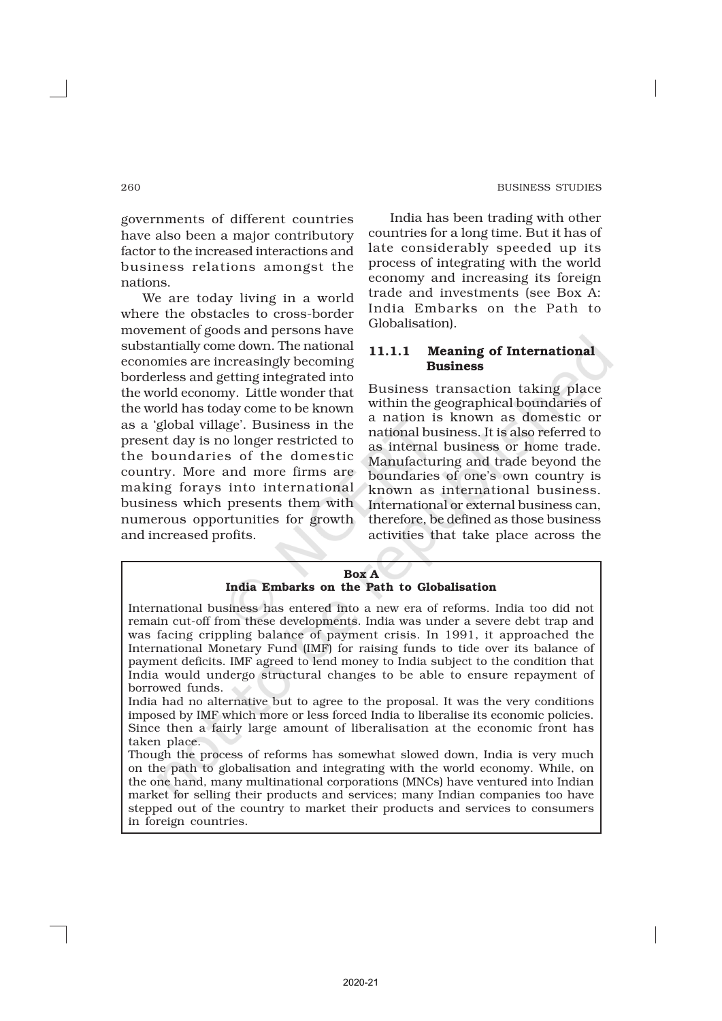governments of different countries have also been a major contributory factor to the increased interactions and business relations amongst the nations.

We are today living in a world where the obstacles to cross-border movement of goods and persons have substantially come down. The national economies are increasingly becoming borderless and getting integrated into the world economy. Little wonder that the world has today come to be known as a 'global village'. Business in the present day is no longer restricted to the boundaries of the domestic country. More and more firms are making forays into international business which presents them with numerous opportunities for growth and increased profits.

India has been trading with other countries for a long time. But it has of late considerably speeded up its process of integrating with the world economy and increasing its foreign trade and investments (see Box A: India Embarks on the Path to Globalisation).

## 11.1.1 Meaning of International Business

Business transaction taking place within the geographical boundaries of a nation is known as domestic or national business. It is also referred to as internal business or home trade. Manufacturing and trade beyond the boundaries of one's own country is known as international business. International or external business can, therefore, be defined as those business activities that take place across the

#### Box A India Embarks on the Path to Globalisation

International business has entered into a new era of reforms. India too did not remain cut-off from these developments. India was under a severe debt trap and was facing crippling balance of payment crisis. In 1991, it approached the International Monetary Fund (IMF) for raising funds to tide over its balance of payment deficits. IMF agreed to lend money to India subject to the condition that India would undergo structural changes to be able to ensure repayment of borrowed funds.

India had no alternative but to agree to the proposal. It was the very conditions imposed by IMF which more or less forced India to liberalise its economic policies. Since then a fairly large amount of liberalisation at the economic front has taken place.

Though the process of reforms has somewhat slowed down, India is very much on the path to globalisation and integrating with the world economy. While, on the one hand, many multinational corporations (MNCs) have ventured into Indian market for selling their products and services; many Indian companies too have stepped out of the country to market their products and services to consumers in foreign countries.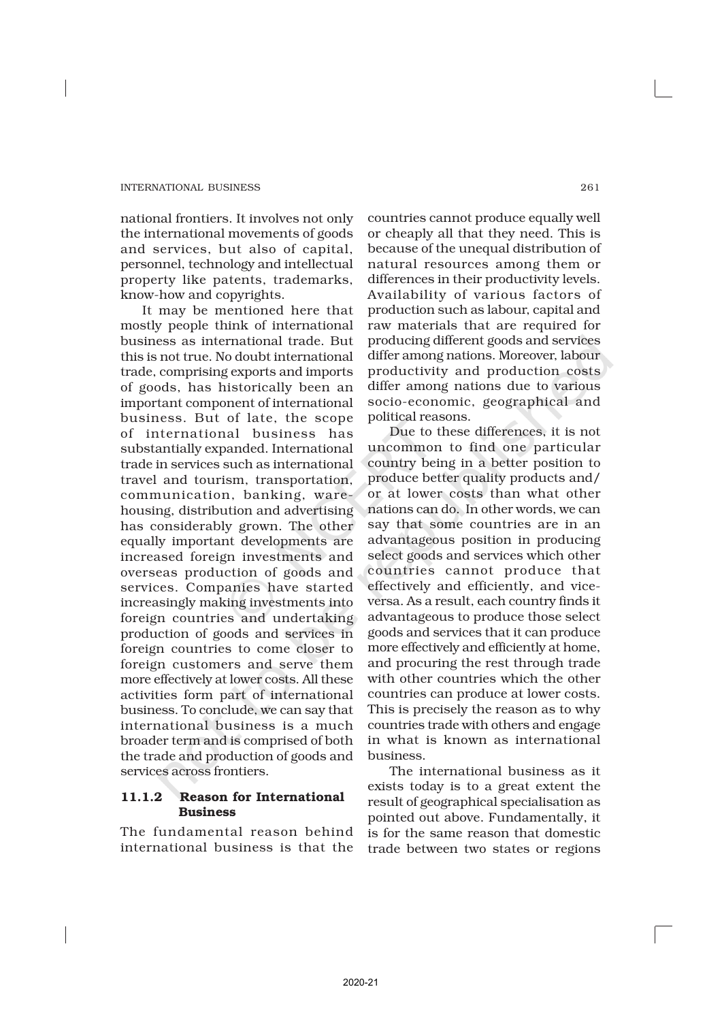national frontiers. It involves not only the international movements of goods and services, but also of capital, personnel, technology and intellectual property like patents, trademarks, know-how and copyrights.

It may be mentioned here that mostly people think of international business as international trade. But this is not true. No doubt international trade, comprising exports and imports of goods, has historically been an important component of international business. But of late, the scope of international business has substantially expanded. International trade in services such as international travel and tourism, transportation, communication, banking, warehousing, distribution and advertising has considerably grown. The other equally important developments are increased foreign investments and overseas production of goods and services. Companies have started increasingly making investments into foreign countries and undertaking production of goods and services in foreign countries to come closer to foreign customers and serve them more effectively at lower costs. All these activities form part of international business. To conclude, we can say that international business is a much broader term and is comprised of both the trade and production of goods and services across frontiers.

## 11.1.2 Reason for International Business

The fundamental reason behind international business is that the countries cannot produce equally well or cheaply all that they need. This is because of the unequal distribution of natural resources among them or differences in their productivity levels. Availability of various factors of production such as labour, capital and raw materials that are required for producing different goods and services differ among nations. Moreover, labour productivity and production costs differ among nations due to various socio-economic, geographical and political reasons.

Due to these differences, it is not uncommon to find one particular country being in a better position to produce better quality products and/ or at lower costs than what other nations can do. In other words, we can say that some countries are in an advantageous position in producing select goods and services which other countries cannot produce that effectively and efficiently, and viceversa. As a result, each country finds it advantageous to produce those select goods and services that it can produce more effectively and efficiently at home, and procuring the rest through trade with other countries which the other countries can produce at lower costs. This is precisely the reason as to why countries trade with others and engage in what is known as international business.

The international business as it exists today is to a great extent the result of geographical specialisation as pointed out above. Fundamentally, it is for the same reason that domestic trade between two states or regions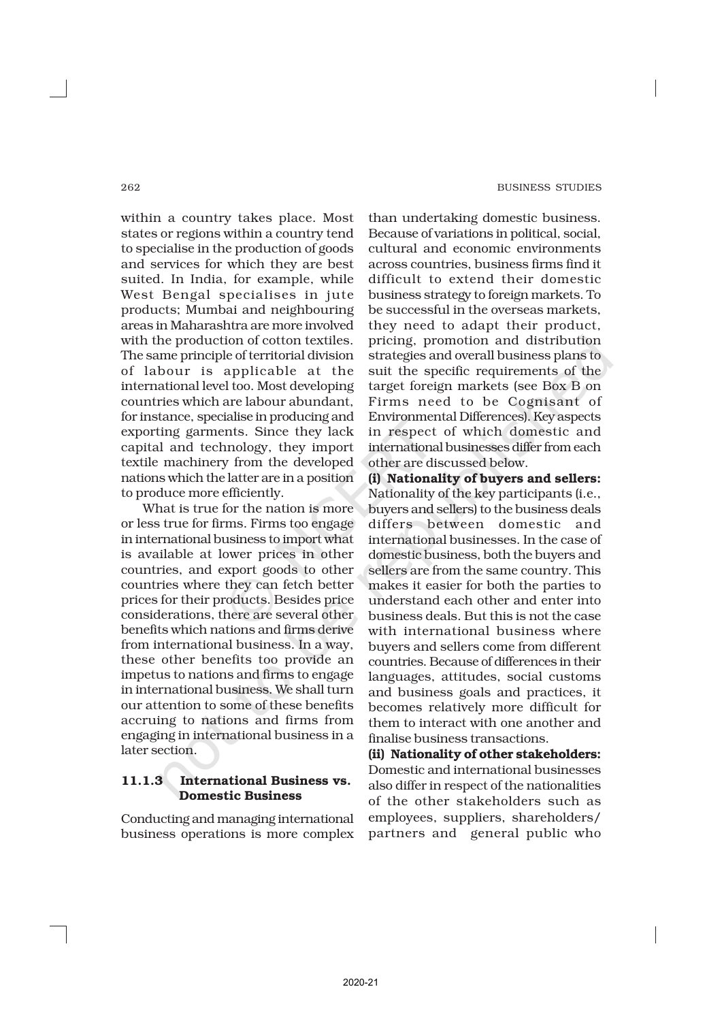within a country takes place. Most states or regions within a country tend to specialise in the production of goods and services for which they are best suited. In India, for example, while West Bengal specialises in jute products; Mumbai and neighbouring areas in Maharashtra are more involved with the production of cotton textiles. The same principle of territorial division of labour is applicable at the international level too. Most developing countries which are labour abundant, for instance, specialise in producing and exporting garments. Since they lack capital and technology, they import textile machinery from the developed nations which the latter are in a position to produce more efficiently.

What is true for the nation is more or less true for firms. Firms too engage in international business to import what is available at lower prices in other countries, and export goods to other countries where they can fetch better prices for their products. Besides price considerations, there are several other benefits which nations and firms derive from international business. In a way, these other benefits too provide an impetus to nations and firms to engage in international business. We shall turn our attention to some of these benefits accruing to nations and firms from engaging in international business in a later section.

## 11.1.3 International Business vs. Domestic Business

Conducting and managing international business operations is more complex than undertaking domestic business. Because of variations in political, social, cultural and economic environments across countries, business firms find it difficult to extend their domestic business strategy to foreign markets. To be successful in the overseas markets, they need to adapt their product, pricing, promotion and distribution strategies and overall business plans to suit the specific requirements of the target foreign markets (see Box B on Firms need to be Cognisant of Environmental Differences). Key aspects in respect of which domestic and international businesses differ from each other are discussed below.

(i) Nationality of buyers and sellers: Nationality of the key participants (i.e., buyers and sellers) to the business deals differs between domestic and international businesses. In the case of domestic business, both the buyers and sellers are from the same country. This makes it easier for both the parties to understand each other and enter into business deals. But this is not the case with international business where buyers and sellers come from different countries. Because of differences in their languages, attitudes, social customs and business goals and practices, it becomes relatively more difficult for them to interact with one another and finalise business transactions.

(ii) Nationality of other stakeholders: Domestic and international businesses also differ in respect of the nationalities of the other stakeholders such as employees, suppliers, shareholders/ partners and general public who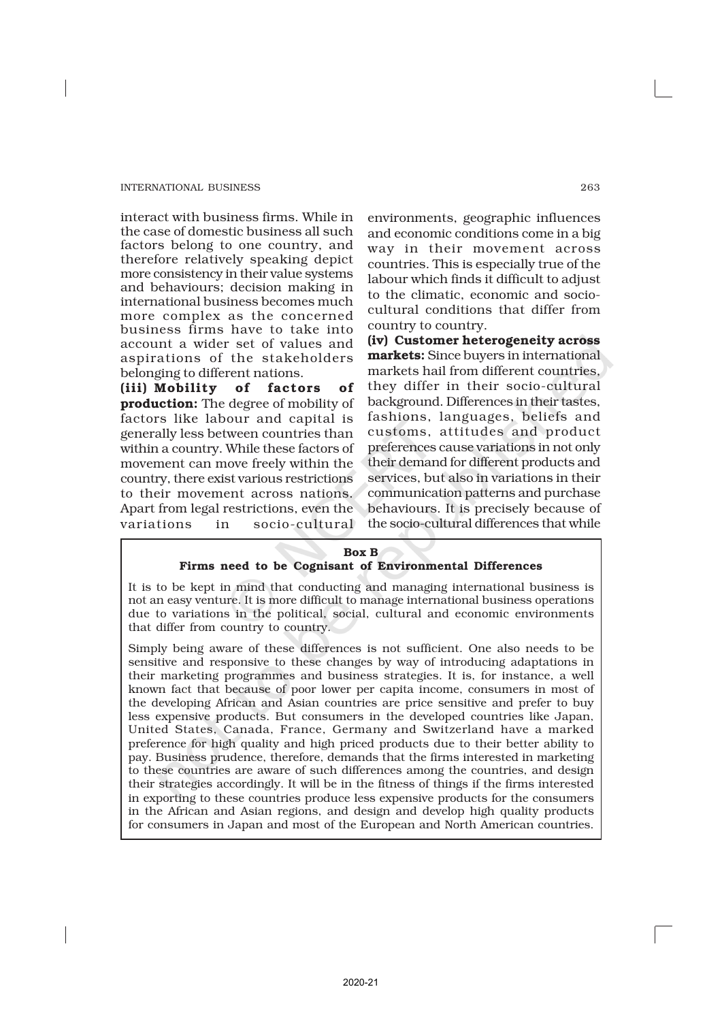interact with business firms. While in the case of domestic business all such factors belong to one country, and therefore relatively speaking depict more consistency in their value systems and behaviours; decision making in international business becomes much more complex as the concerned business firms have to take into account a wider set of values and aspirations of the stakeholders belonging to different nations.

(iii) Mobility of factors of production: The degree of mobility of factors like labour and capital is generally less between countries than within a country. While these factors of movement can move freely within the country, there exist various restrictions to their movement across nations. Apart from legal restrictions, even the variations in socio-cultural

environments, geographic influences and economic conditions come in a big way in their movement across countries. This is especially true of the labour which finds it difficult to adjust to the climatic, economic and sociocultural conditions that differ from country to country.

(iv) Customer heterogeneity across markets: Since buyers in international markets hail from different countries, they differ in their socio-cultural background. Differences in their tastes, fashions, languages, beliefs and customs, attitudes and product preferences cause variations in not only their demand for different products and services, but also in variations in their communication patterns and purchase behaviours. It is precisely because of the socio-cultural differences that while

### Box B Firms need to be Cognisant of Environmental Differences

It is to be kept in mind that conducting and managing international business is not an easy venture. It is more difficult to manage international business operations due to variations in the political, social, cultural and economic environments that differ from country to country.

Simply being aware of these differences is not sufficient. One also needs to be sensitive and responsive to these changes by way of introducing adaptations in their marketing programmes and business strategies. It is, for instance, a well known fact that because of poor lower per capita income, consumers in most of the developing African and Asian countries are price sensitive and prefer to buy less expensive products. But consumers in the developed countries like Japan, United States, Canada, France, Germany and Switzerland have a marked preference for high quality and high priced products due to their better ability to pay. Business prudence, therefore, demands that the firms interested in marketing to these countries are aware of such differences among the countries, and design their strategies accordingly. It will be in the fitness of things if the firms interested in exporting to these countries produce less expensive products for the consumers in the African and Asian regions, and design and develop high quality products for consumers in Japan and most of the European and North American countries.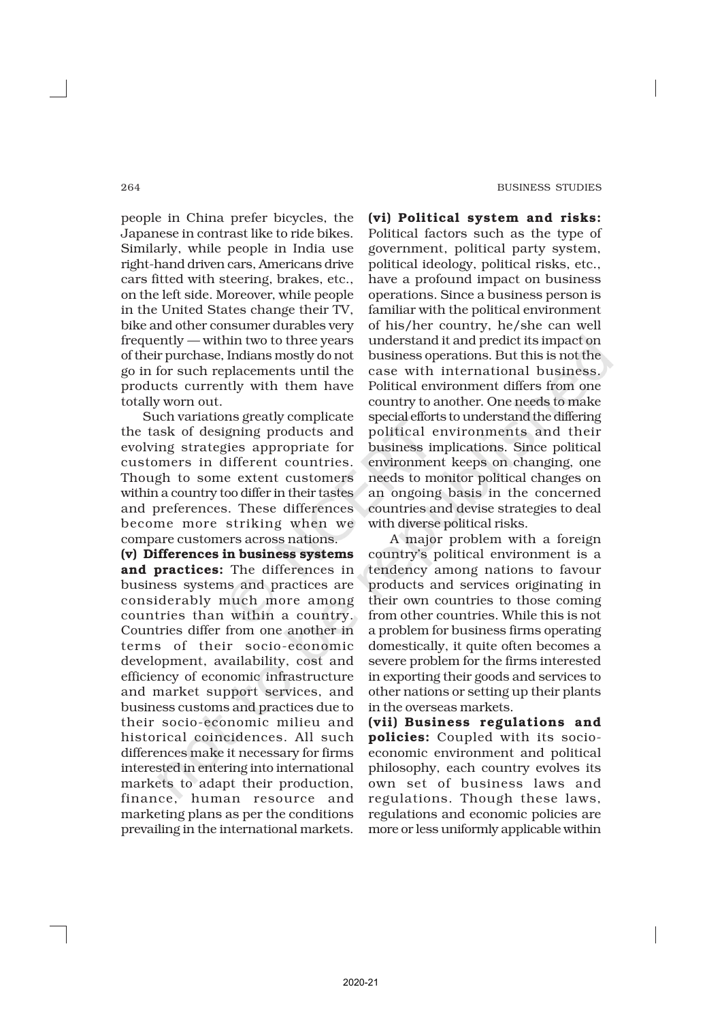#### 264 BUSINESS STUDIES

people in China prefer bicycles, the Japanese in contrast like to ride bikes. Similarly, while people in India use right-hand driven cars, Americans drive cars fitted with steering, brakes, etc., on the left side. Moreover, while people in the United States change their TV, bike and other consumer durables very frequently — within two to three years of their purchase, Indians mostly do not go in for such replacements until the products currently with them have totally worn out.

Such variations greatly complicate the task of designing products and evolving strategies appropriate for customers in different countries. Though to some extent customers within a country too differ in their tastes and preferences. These differences become more striking when we compare customers across nations.

(v) Differences in business systems and practices: The differences in business systems and practices are considerably much more among countries than within a country. Countries differ from one another in terms of their socio-economic development, availability, cost and efficiency of economic infrastructure and market support services, and business customs and practices due to their socio-economic milieu and historical coincidences. All such differences make it necessary for firms interested in entering into international markets to adapt their production, finance, human resource and marketing plans as per the conditions prevailing in the international markets.

(vi) Political system and risks: Political factors such as the type of government, political party system, political ideology, political risks, etc., have a profound impact on business operations. Since a business person is familiar with the political environment of his/her country, he/she can well understand it and predict its impact on business operations. But this is not the case with international business. Political environment differs from one country to another. One needs to make special efforts to understand the differing political environments and their business implications. Since political environment keeps on changing, one needs to monitor political changes on an ongoing basis in the concerned countries and devise strategies to deal with diverse political risks.

A major problem with a foreign country's political environment is a tendency among nations to favour products and services originating in their own countries to those coming from other countries. While this is not a problem for business firms operating domestically, it quite often becomes a severe problem for the firms interested in exporting their goods and services to other nations or setting up their plants in the overseas markets.

(vii) Business regulations and policies: Coupled with its socioeconomic environment and political philosophy, each country evolves its own set of business laws and regulations. Though these laws, regulations and economic policies are more or less uniformly applicable within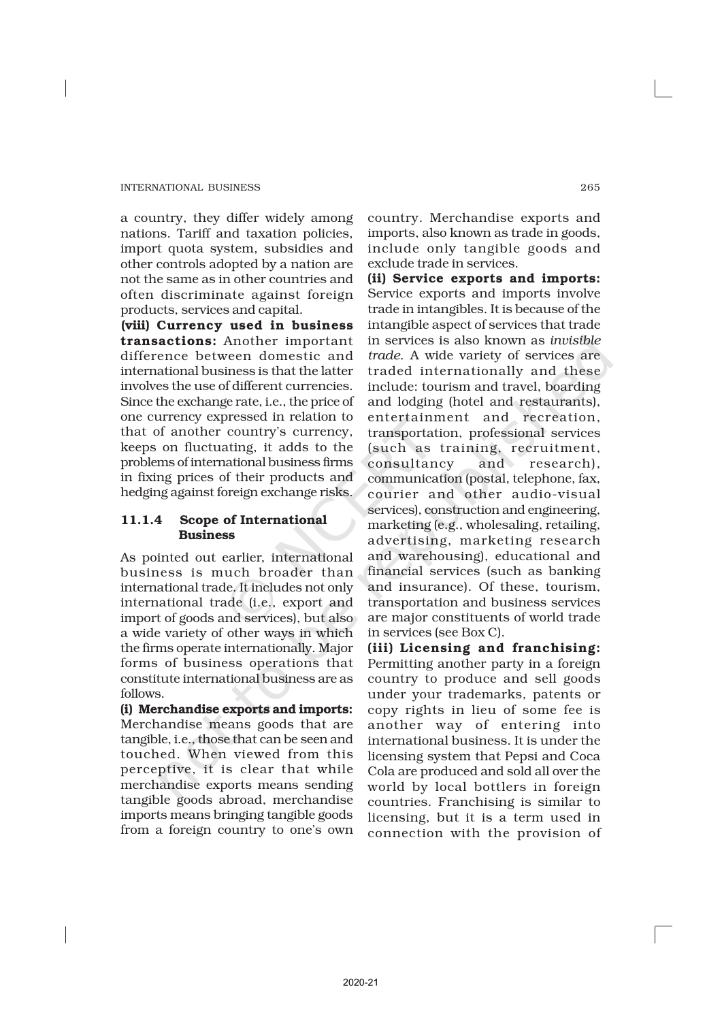a country, they differ widely among nations. Tariff and taxation policies, import quota system, subsidies and other controls adopted by a nation are not the same as in other countries and often discriminate against foreign products, services and capital.

(viii) Currency used in business transactions: Another important difference between domestic and international business is that the latter involves the use of different currencies. Since the exchange rate, i.e., the price of one currency expressed in relation to that of another country's currency, keeps on fluctuating, it adds to the problems of international business firms in fixing prices of their products and hedging against foreign exchange risks.

## 11.1.4 Scope of International Business

As pointed out earlier, international business is much broader than international trade. It includes not only international trade (i.e., export and import of goods and services), but also a wide variety of other ways in which the firms operate internationally. Major forms of business operations that constitute international business are as follows.

(i) Merchandise exports and imports: Merchandise means goods that are tangible, i.e., those that can be seen and touched. When viewed from this perceptive, it is clear that while merchandise exports means sending tangible goods abroad, merchandise imports means bringing tangible goods from a foreign country to one's own

country. Merchandise exports and imports, also known as trade in goods, include only tangible goods and exclude trade in services.

(ii) Service exports and imports: Service exports and imports involve trade in intangibles. It is because of the intangible aspect of services that trade in services is also known as *invisible trade*. A wide variety of services are traded internationally and these include: tourism and travel, boarding and lodging (hotel and restaurants), entertainment and recreation, transportation, professional services (such as training, recruitment, consultancy and research), communication (postal, telephone, fax, courier and other audio-visual services), construction and engineering, marketing (e.g., wholesaling, retailing, advertising, marketing research and warehousing), educational and financial services (such as banking and insurance). Of these, tourism, transportation and business services are major constituents of world trade in services (see Box C).

(iii) Licensing and franchising: Permitting another party in a foreign country to produce and sell goods under your trademarks, patents or copy rights in lieu of some fee is another way of entering into international business. It is under the licensing system that Pepsi and Coca Cola are produced and sold all over the world by local bottlers in foreign countries. Franchising is similar to licensing, but it is a term used in connection with the provision of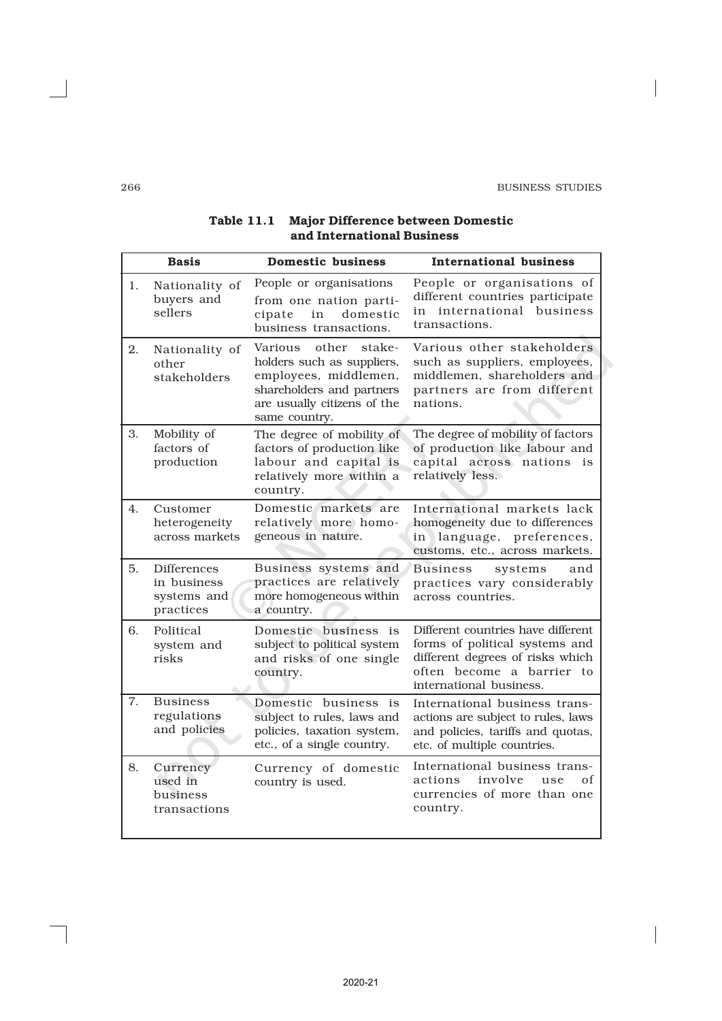$\begin{array}{c} \hline \end{array}$ 

|    | <b>Basis</b>                                                  | <b>Domestic business</b>                                                                                                                                       | <b>International business</b>                                                                                                                                    |
|----|---------------------------------------------------------------|----------------------------------------------------------------------------------------------------------------------------------------------------------------|------------------------------------------------------------------------------------------------------------------------------------------------------------------|
| 1. | Nationality of<br>buyers and<br>sellers                       | People or organisations<br>from one nation parti-<br>domestic<br>in<br>cipate<br>business transactions.                                                        | People or organisations of<br>different countries participate<br>in international business<br>transactions.                                                      |
| 2. | Nationality of<br>other<br>stakeholders                       | other<br>Various<br>stake-<br>holders such as suppliers,<br>employees, middlemen,<br>shareholders and partners<br>are usually citizens of the<br>same country. | Various other stakeholders<br>such as suppliers, employees,<br>middlemen, shareholders and<br>partners are from different<br>nations.                            |
| 3. | Mobility of<br>factors of<br>production                       | The degree of mobility of<br>factors of production like<br>labour and capital is<br>relatively more within a<br>country.                                       | The degree of mobility of factors<br>of production like labour and<br>capital across nations is<br>relatively less.                                              |
| 4. | Customer<br>heterogeneity<br>across markets                   | Domestic markets are<br>relatively more homo-<br>geneous in nature.                                                                                            | International markets lack<br>homogeneity due to differences<br>in language, preferences,<br>customs, etc., across markets.                                      |
| 5. | <b>Differences</b><br>in business<br>systems and<br>practices | Business systems and<br>practices are relatively<br>more homogeneous within<br>a country.                                                                      | <b>Business</b><br>systems<br>and<br>practices vary considerably<br>across countries.                                                                            |
| 6. | Political<br>system and<br>risks                              | Domestic business<br>is<br>subject to political system<br>and risks of one single<br>country.                                                                  | Different countries have different<br>forms of political systems and<br>different degrees of risks which<br>often become a barrier to<br>international business. |
| 7. | <b>Business</b><br>regulations<br>and policies                | Domestic business is<br>subject to rules, laws and<br>policies, taxation system,<br>etc., of a single country.                                                 | International business trans-<br>actions are subject to rules, laws<br>and policies, tariffs and quotas,<br>etc. of multiple countries.                          |
| 8. | Currency<br>used in<br>business<br>transactions               | Currency of domestic<br>country is used.                                                                                                                       | International business trans-<br>involve<br>actions<br>use<br>οf<br>currencies of more than one<br>country.                                                      |

## Table 11.1 Major Difference between Domestic and International Business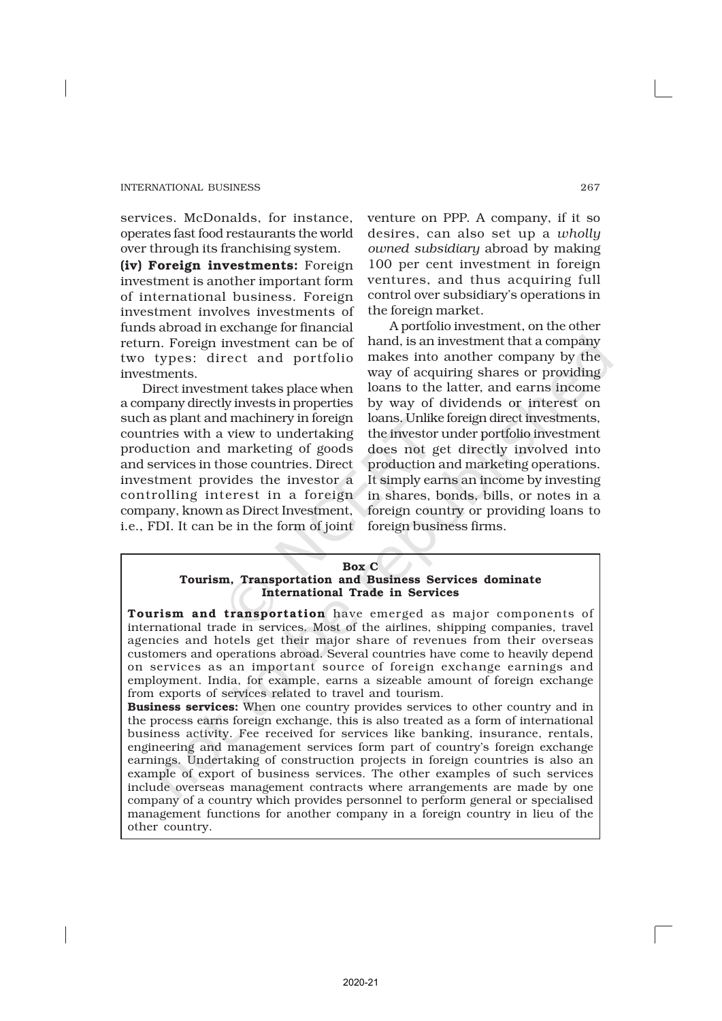services. McDonalds, for instance, operates fast food restaurants the world over through its franchising system.

(iv) Foreign investments: Foreign investment is another important form of international business. Foreign investment involves investments of funds abroad in exchange for financial return. Foreign investment can be of two types: direct and portfolio investments.

Direct investment takes place when a company directly invests in properties such as plant and machinery in foreign countries with a view to undertaking production and marketing of goods and services in those countries. Direct investment provides the investor a controlling interest in a foreign company, known as Direct Investment, i.e., FDI. It can be in the form of joint

venture on PPP. A company, if it so desires, can also set up a *wholly owned subsidiary* abroad by making 100 per cent investment in foreign ventures, and thus acquiring full control over subsidiary's operations in the foreign market.

A portfolio investment, on the other hand, is an investment that a company makes into another company by the way of acquiring shares or providing loans to the latter, and earns income by way of dividends or interest on loans. Unlike foreign direct investments, the investor under portfolio investment does not get directly involved into production and marketing operations. It simply earns an income by investing in shares, bonds, bills, or notes in a foreign country or providing loans to foreign business firms.

#### Box C

## Tourism, Transportation and Business Services dominate International Trade in Services

Tourism and transportation have emerged as major components of international trade in services. Most of the airlines, shipping companies, travel agencies and hotels get their major share of revenues from their overseas customers and operations abroad. Several countries have come to heavily depend on services as an important source of foreign exchange earnings and employment. India, for example, earns a sizeable amount of foreign exchange from exports of services related to travel and tourism.

Business services: When one country provides services to other country and in the process earns foreign exchange, this is also treated as a form of international business activity. Fee received for services like banking, insurance, rentals, engineering and management services form part of country's foreign exchange earnings. Undertaking of construction projects in foreign countries is also an example of export of business services. The other examples of such services include overseas management contracts where arrangements are made by one company of a country which provides personnel to perform general or specialised management functions for another company in a foreign country in lieu of the other country.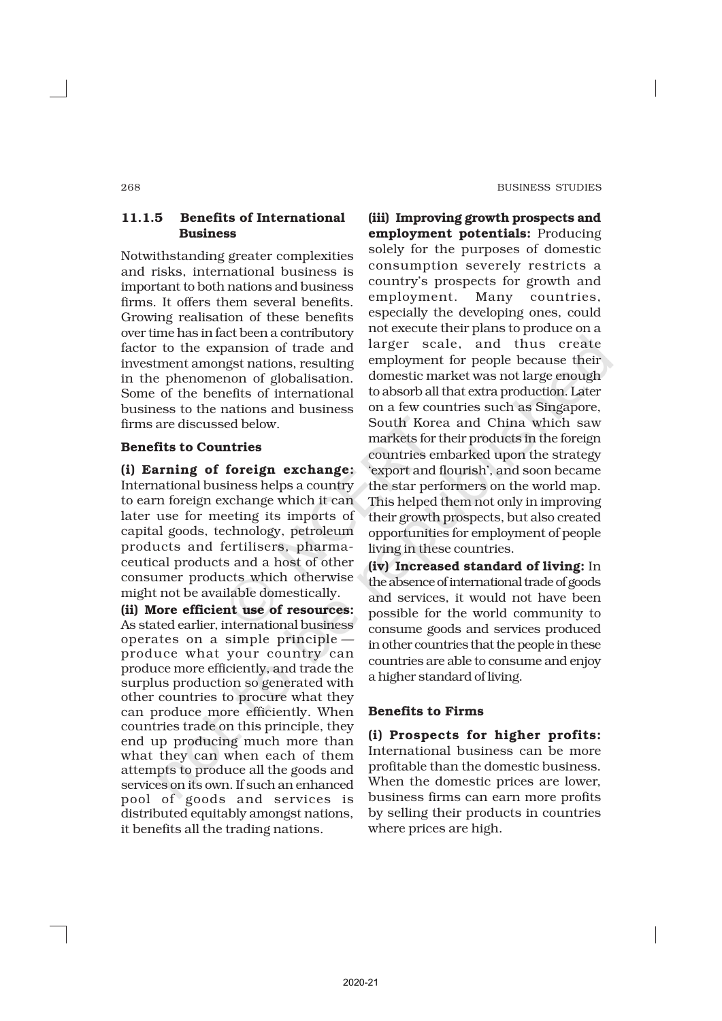## 11.1.5 Benefits of International Business

Notwithstanding greater complexities and risks, international business is important to both nations and business firms. It offers them several benefits. Growing realisation of these benefits over time has in fact been a contributory factor to the expansion of trade and investment amongst nations, resulting in the phenomenon of globalisation. Some of the benefits of international business to the nations and business firms are discussed below.

## Benefits to Countries

(i) Earning of foreign exchange: International business helps a country to earn foreign exchange which it can later use for meeting its imports of capital goods, technology, petroleum products and fertilisers, pharmaceutical products and a host of other consumer products which otherwise might not be available domestically.

(ii) More efficient use of resources: As stated earlier, international business operates on a simple principle produce what your country can produce more efficiently, and trade the surplus production so generated with other countries to procure what they can produce more efficiently. When countries trade on this principle, they end up producing much more than what they can when each of them attempts to produce all the goods and services on its own. If such an enhanced pool of goods and services is distributed equitably amongst nations, it benefits all the trading nations.

(iii) Improving growth prospects and employment potentials: Producing solely for the purposes of domestic consumption severely restricts a country's prospects for growth and employment. Many countries, especially the developing ones, could not execute their plans to produce on a larger scale, and thus create employment for people because their domestic market was not large enough to absorb all that extra production. Later on a few countries such as Singapore, South Korea and China which saw markets for their products in the foreign countries embarked upon the strategy 'export and flourish', and soon became the star performers on the world map. This helped them not only in improving their growth prospects, but also created opportunities for employment of people living in these countries.

(iv) Increased standard of living: In the absence of international trade of goods and services, it would not have been possible for the world community to consume goods and services produced in other countries that the people in these countries are able to consume and enjoy a higher standard of living.

## Benefits to Firms

(i) Prospects for higher profits: International business can be more profitable than the domestic business. When the domestic prices are lower, business firms can earn more profits by selling their products in countries where prices are high.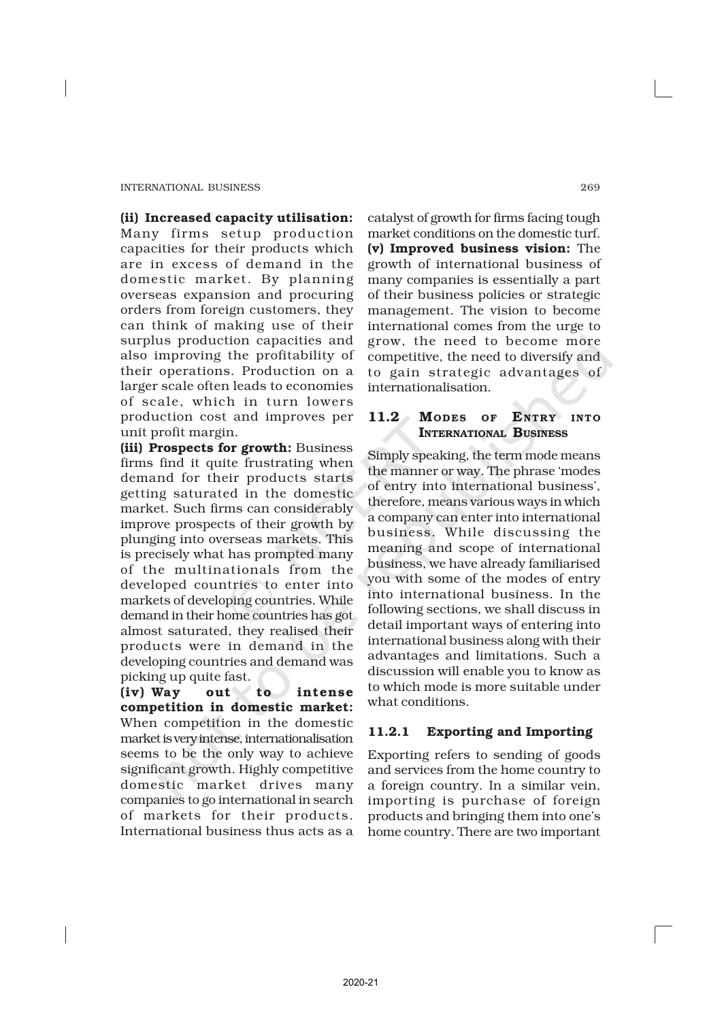(ii) Increased capacity utilisation: Many firms setup production capacities for their products which are in excess of demand in the domestic market. By planning overseas expansion and procuring orders from foreign customers, they can think of making use of their surplus production capacities and also improving the profitability of their operations. Production on a larger scale often leads to economies of scale, which in turn lowers production cost and improves per unit profit margin.

(iii) Prospects for growth: Business firms find it quite frustrating when demand for their products starts getting saturated in the domestic market. Such firms can considerably improve prospects of their growth by plunging into overseas markets. This is precisely what has prompted many of the multinationals from the developed countries to enter into markets of developing countries. While demand in their home countries has got almost saturated, they realised their products were in demand in the developing countries and demand was picking up quite fast.

(iv) Way out to intense competition in domestic market: When competition in the domestic market is very intense, internationalisation seems to be the only way to achieve significant growth. Highly competitive domestic market drives many companies to go international in search of markets for their products. International business thus acts as a

catalyst of growth for firms facing tough market conditions on the domestic turf. (v) Improved business vision: The growth of international business of many companies is essentially a part of their business policies or strategic management. The vision to become international comes from the urge to grow, the need to become more competitive, the need to diversify and to gain strategic advantages of internationalisation.

## 11.2 MODES OF ENTRY INTO INTERNATIONAL BUSINESS

Simply speaking, the term mode means the manner or way. The phrase 'modes of entry into international business', therefore, means various ways in which a company can enter into international business. While discussing the meaning and scope of international business, we have already familiarised you with some of the modes of entry into international business. In the following sections, we shall discuss in detail important ways of entering into international business along with their advantages and limitations. Such a discussion will enable you to know as to which mode is more suitable under what conditions.

## 11.2.1 Exporting and Importing

Exporting refers to sending of goods and services from the home country to a foreign country. In a similar vein, importing is purchase of foreign products and bringing them into one's home country. There are two important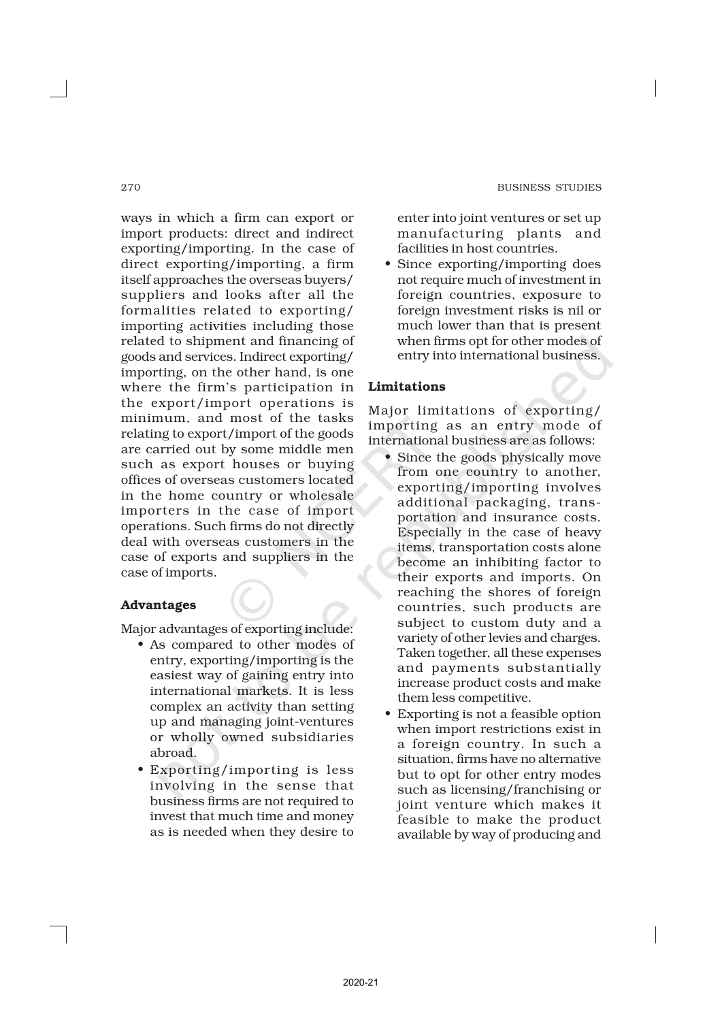ways in which a firm can export or import products: direct and indirect exporting/importing. In the case of direct exporting/importing, a firm itself approaches the overseas buyers/ suppliers and looks after all the formalities related to exporting/ importing activities including those related to shipment and financing of goods and services. Indirect exporting/ importing, on the other hand, is one where the firm's participation in the export/import operations is minimum, and most of the tasks relating to export/import of the goods are carried out by some middle men such as export houses or buying offices of overseas customers located in the home country or wholesale importers in the case of import operations. Such firms do not directly deal with overseas customers in the case of exports and suppliers in the case of imports.

## Advantages

Major advantages of exporting include:

- As compared to other modes of entry, exporting/importing is the easiest way of gaining entry into international markets. It is less complex an activity than setting up and managing joint-ventures or wholly owned subsidiaries abroad.
- Exporting/importing is less involving in the sense that business firms are not required to invest that much time and money as is needed when they desire to

enter into joint ventures or set up manufacturing plants and facilities in host countries.

• Since exporting/importing does not require much of investment in foreign countries, exposure to foreign investment risks is nil or much lower than that is present when firms opt for other modes of entry into international business.

## Limitations

Major limitations of exporting/ importing as an entry mode of international business are as follows:

- Since the goods physically move from one country to another, exporting/importing involves additional packaging, transportation and insurance costs. Especially in the case of heavy items, transportation costs alone become an inhibiting factor to their exports and imports. On reaching the shores of foreign countries, such products are subject to custom duty and a variety of other levies and charges. Taken together, all these expenses and payments substantially increase product costs and make them less competitive.
- Exporting is not a feasible option when import restrictions exist in a foreign country. In such a situation, firms have no alternative but to opt for other entry modes such as licensing/franchising or joint venture which makes it feasible to make the product available by way of producing and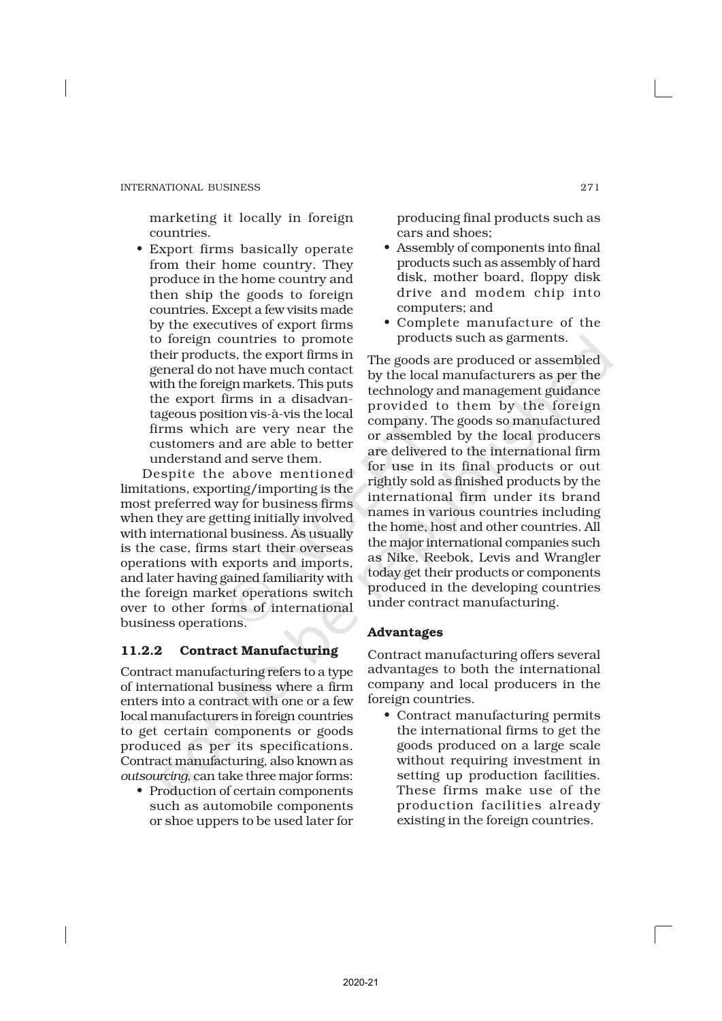marketing it locally in foreign countries.

• Export firms basically operate from their home country. They produce in the home country and then ship the goods to foreign countries. Except a few visits made by the executives of export firms to foreign countries to promote their products, the export firms in general do not have much contact with the foreign markets. This puts the export firms in a disadvantageous position vis-à-vis the local firms which are very near the customers and are able to better understand and serve them.

Despite the above mentioned limitations, exporting/importing is the most preferred way for business firms when they are getting initially involved with international business. As usually is the case, firms start their overseas operations with exports and imports, and later having gained familiarity with the foreign market operations switch over to other forms of international business operations.

## 11.2.2 Contract Manufacturing

Contract manufacturing refers to a type of international business where a firm enters into a contract with one or a few local manufacturers in foreign countries to get certain components or goods produced as per its specifications. Contract manufacturing, also known as *outsourcing*, can take three major forms:

• Production of certain components such as automobile components or shoe uppers to be used later for producing final products such as cars and shoes;

- Assembly of components into final products such as assembly of hard disk, mother board, floppy disk drive and modem chip into computers; and
- Complete manufacture of the products such as garments.

The goods are produced or assembled by the local manufacturers as per the technology and management guidance provided to them by the foreign company. The goods so manufactured or assembled by the local producers are delivered to the international firm for use in its final products or out rightly sold as finished products by the international firm under its brand names in various countries including the home, host and other countries. All the major international companies such as Nike, Reebok, Levis and Wrangler today get their products or components produced in the developing countries under contract manufacturing.

## Advantages

Contract manufacturing offers several advantages to both the international company and local producers in the foreign countries.

• Contract manufacturing permits the international firms to get the goods produced on a large scale without requiring investment in setting up production facilities. These firms make use of the production facilities already existing in the foreign countries.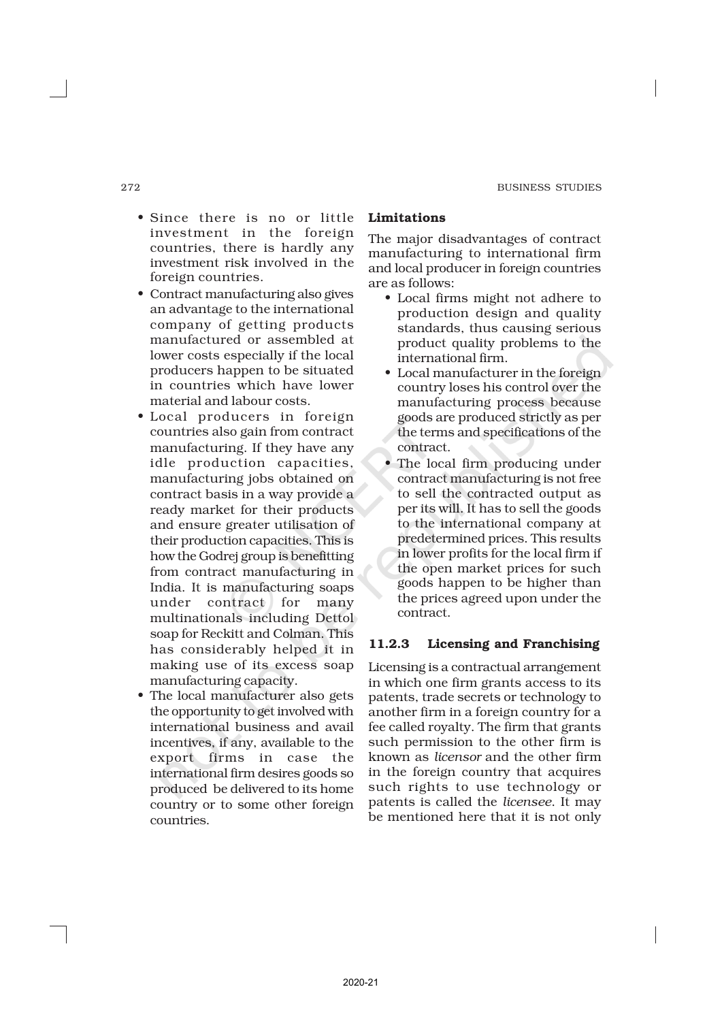- Since there is no or little investment in the foreign countries, there is hardly any investment risk involved in the foreign countries.
- Contract manufacturing also gives an advantage to the international company of getting products manufactured or assembled at lower costs especially if the local producers happen to be situated in countries which have lower material and labour costs.
- Local producers in foreign countries also gain from contract manufacturing. If they have any idle production capacities, manufacturing jobs obtained on contract basis in a way provide a ready market for their products and ensure greater utilisation of their production capacities. This is how the Godrej group is benefitting from contract manufacturing in India. It is manufacturing soaps under contract for many multinationals including Dettol soap for Reckitt and Colman. This has considerably helped it in making use of its excess soap manufacturing capacity.
- The local manufacturer also gets the opportunity to get involved with international business and avail incentives, if any, available to the export firms in case the international firm desires goods so produced be delivered to its home country or to some other foreign countries.

### Limitations

The major disadvantages of contract manufacturing to international firm and local producer in foreign countries are as follows:

- Local firms might not adhere to production design and quality standards, thus causing serious product quality problems to the international firm.
- Local manufacturer in the foreign country loses his control over the manufacturing process because goods are produced strictly as per the terms and specifications of the contract.
- The local firm producing under contract manufacturing is not free to sell the contracted output as per its will. It has to sell the goods to the international company at predetermined prices. This results in lower profits for the local firm if the open market prices for such goods happen to be higher than the prices agreed upon under the contract.

## 11.2.3 Licensing and Franchising

Licensing is a contractual arrangement in which one firm grants access to its patents, trade secrets or technology to another firm in a foreign country for a fee called royalty. The firm that grants such permission to the other firm is known as *licensor* and the other firm in the foreign country that acquires such rights to use technology or patents is called the *licensee*. It may be mentioned here that it is not only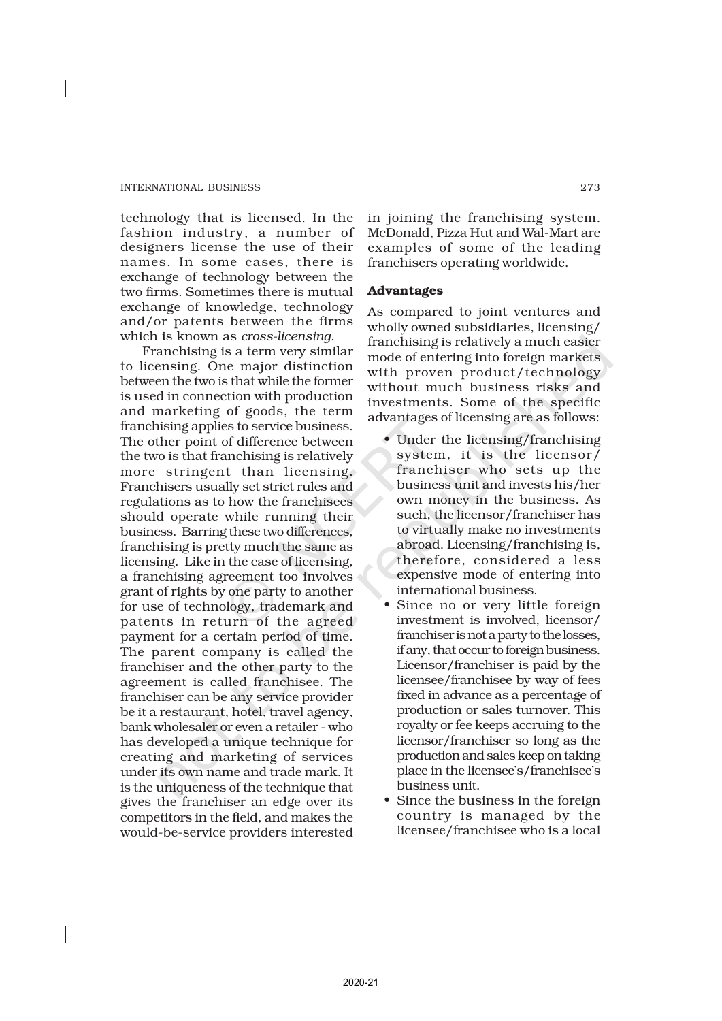technology that is licensed. In the fashion industry, a number of designers license the use of their names. In some cases, there is exchange of technology between the two firms. Sometimes there is mutual exchange of knowledge, technology and/or patents between the firms which is known as *cross-licensing*.

Franchising is a term very similar to licensing. One major distinction between the two is that while the former is used in connection with production and marketing of goods, the term franchising applies to service business. The other point of difference between the two is that franchising is relatively more stringent than licensing. Franchisers usually set strict rules and regulations as to how the franchisees should operate while running their business. Barring these two differences, franchising is pretty much the same as licensing. Like in the case of licensing, a franchising agreement too involves grant of rights by one party to another for use of technology, trademark and patents in return of the agreed payment for a certain period of time. The parent company is called the franchiser and the other party to the agreement is called franchisee. The franchiser can be any service provider be it a restaurant, hotel, travel agency, bank wholesaler or even a retailer - who has developed a unique technique for creating and marketing of services under its own name and trade mark. It is the uniqueness of the technique that gives the franchiser an edge over its competitors in the field, and makes the would-be-service providers interested

in joining the franchising system. McDonald, Pizza Hut and Wal-Mart are examples of some of the leading franchisers operating worldwide.

#### Advantages

As compared to joint ventures and wholly owned subsidiaries, licensing/ franchising is relatively a much easier mode of entering into foreign markets with proven product/technology without much business risks and investments. Some of the specific advantages of licensing are as follows:

- Under the licensing/franchising system, it is the licensor/ franchiser who sets up the business unit and invests his/her own money in the business. As such, the licensor/franchiser has to virtually make no investments abroad. Licensing/franchising is, therefore, considered a less expensive mode of entering into international business.
- Since no or very little foreign investment is involved, licensor/ franchiser is not a party to the losses, if any, that occur to foreign business. Licensor/franchiser is paid by the licensee/franchisee by way of fees fixed in advance as a percentage of production or sales turnover. This royalty or fee keeps accruing to the licensor/franchiser so long as the production and sales keep on taking place in the licensee's/franchisee's business unit.
- Since the business in the foreign country is managed by the licensee/franchisee who is a local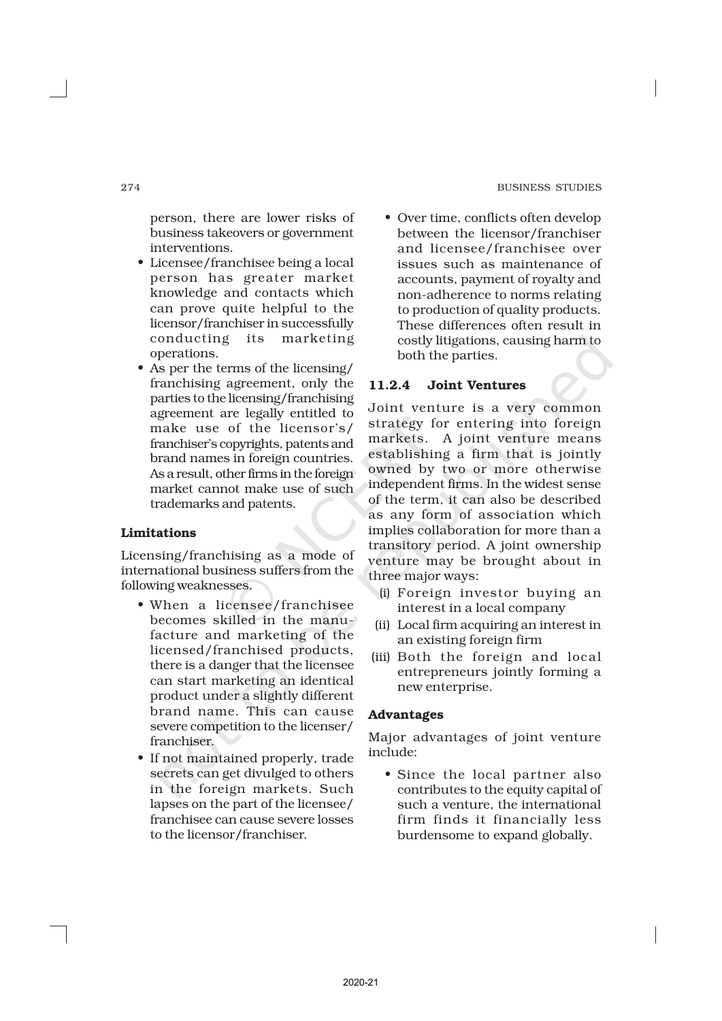person, there are lower risks of business takeovers or government interventions.

- Licensee/franchisee being a local person has greater market knowledge and contacts which can prove quite helpful to the licensor/franchiser in successfully conducting its marketing operations.
- As per the terms of the licensing/ franchising agreement, only the parties to the licensing/franchising agreement are legally entitled to make use of the licensor's/ franchiser's copyrights, patents and brand names in foreign countries. As a result, other firms in the foreign market cannot make use of such trademarks and patents.

#### Limitations

Licensing/franchising as a mode of international business suffers from the following weaknesses.

- When a licensee/franchisee becomes skilled in the manufacture and marketing of the licensed/franchised products, there is a danger that the licensee can start marketing an identical product under a slightly different brand name. This can cause severe competition to the licenser/ franchiser.
- If not maintained properly, trade secrets can get divulged to others in the foreign markets. Such lapses on the part of the licensee/ franchisee can cause severe losses to the licensor/franchiser.

• Over time, conflicts often develop between the licensor/franchiser and licensee/franchisee over issues such as maintenance of accounts, payment of royalty and non-adherence to norms relating to production of quality products. These differences often result in costly litigations, causing harm to both the parties.

## 11.2.4 Joint Ventures

Joint venture is a very common strategy for entering into foreign markets. A joint venture means establishing a firm that is jointly owned by two or more otherwise independent firms. In the widest sense of the term, it can also be described as any form of association which implies collaboration for more than a transitory period. A joint ownership venture may be brought about in three major ways:

- (i) Foreign investor buying an interest in a local company
- (ii) Local firm acquiring an interest in an existing foreign firm
- (iii) Both the foreign and local entrepreneurs jointly forming a new enterprise.

#### Advantages

Major advantages of joint venture include:

• Since the local partner also contributes to the equity capital of such a venture, the international firm finds it financially less burdensome to expand globally.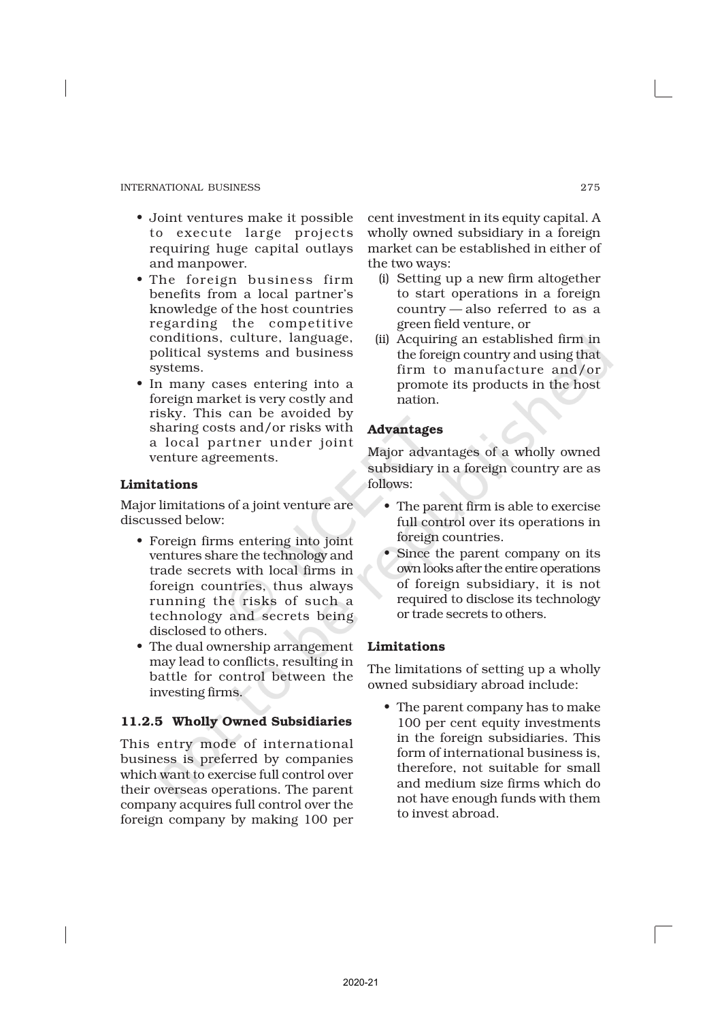- Joint ventures make it possible to execute large projects requiring huge capital outlays and manpower.
- The foreign business firm benefits from a local partner's knowledge of the host countries regarding the competitive conditions, culture, language, political systems and business systems.
- In many cases entering into a foreign market is very costly and risky. This can be avoided by sharing costs and/or risks with a local partner under joint venture agreements.

## Limitations

Major limitations of a joint venture are discussed below:

- Foreign firms entering into joint ventures share the technology and trade secrets with local firms in foreign countries, thus always running the risks of such a technology and secrets being disclosed to others.
- The dual ownership arrangement may lead to conflicts, resulting in battle for control between the investing firms.

## 11.2.5 Wholly Owned Subsidiaries

This entry mode of international business is preferred by companies which want to exercise full control over their overseas operations. The parent company acquires full control over the foreign company by making 100 per

cent investment in its equity capital. A wholly owned subsidiary in a foreign market can be established in either of the two ways:

- (i) Setting up a new firm altogether to start operations in a foreign country — also referred to as a green field venture, or
- (ii) Acquiring an established firm in the foreign country and using that firm to manufacture and/or promote its products in the host nation.

## Advantages

Major advantages of a wholly owned subsidiary in a foreign country are as follows:

- The parent firm is able to exercise full control over its operations in foreign countries.
- Since the parent company on its own looks after the entire operations of foreign subsidiary, it is not required to disclose its technology or trade secrets to others.

## Limitations

The limitations of setting up a wholly owned subsidiary abroad include:

• The parent company has to make 100 per cent equity investments in the foreign subsidiaries. This form of international business is, therefore, not suitable for small and medium size firms which do not have enough funds with them to invest abroad.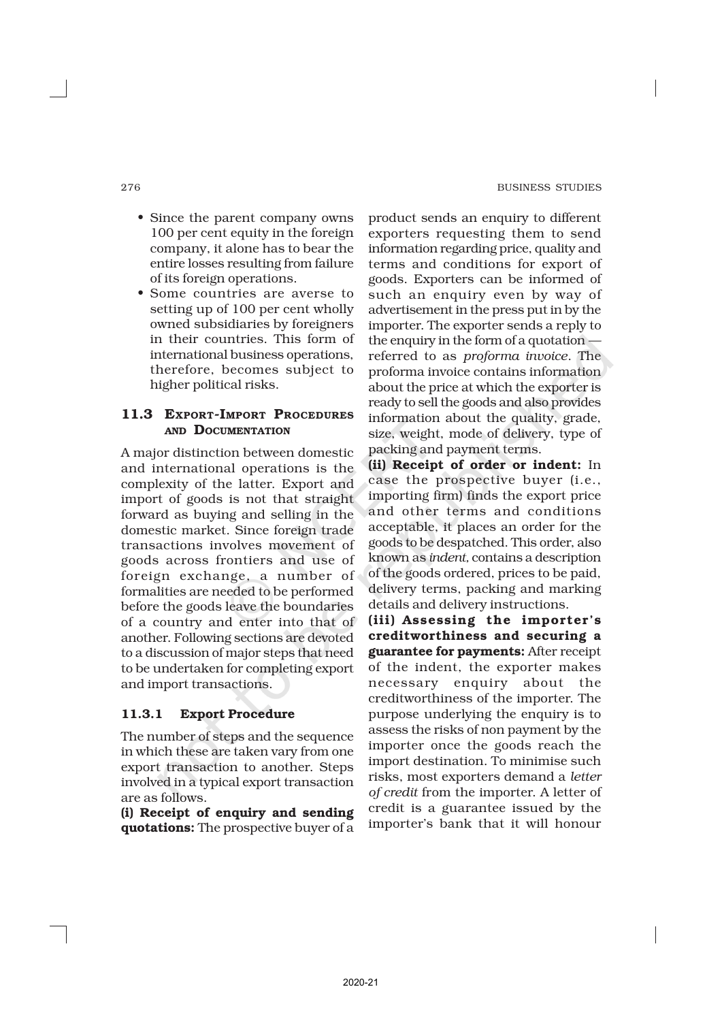- Since the parent company owns 100 per cent equity in the foreign company, it alone has to bear the entire losses resulting from failure of its foreign operations.
- Some countries are averse to setting up of 100 per cent wholly owned subsidiaries by foreigners in their countries. This form of international business operations, therefore, becomes subject to higher political risks.

## 11.3 EXPORT-IMPORT PROCEDURES AND DOCUMENTATION

A major distinction between domestic and international operations is the complexity of the latter. Export and import of goods is not that straight forward as buying and selling in the domestic market. Since foreign trade transactions involves movement of goods across frontiers and use of foreign exchange, a number of formalities are needed to be performed before the goods leave the boundaries of a country and enter into that of another. Following sections are devoted to a discussion of major steps that need to be undertaken for completing export and import transactions.

## 11.3.1 Export Procedure

The number of steps and the sequence in which these are taken vary from one export transaction to another. Steps involved in a typical export transaction are as follows.

(i) Receipt of enquiry and sending quotations: The prospective buyer of a product sends an enquiry to different exporters requesting them to send information regarding price, quality and terms and conditions for export of goods. Exporters can be informed of such an enquiry even by way of advertisement in the press put in by the importer. The exporter sends a reply to the enquiry in the form of a quotation referred to as *proforma invoice*. The proforma invoice contains information about the price at which the exporter is ready to sell the goods and also provides information about the quality, grade, size, weight, mode of delivery, type of packing and payment terms.

(ii) Receipt of order or indent: In case the prospective buyer (i.e., importing firm) finds the export price and other terms and conditions acceptable, it places an order for the goods to be despatched. This order, also known as *indent,* contains a description of the goods ordered, prices to be paid, delivery terms, packing and marking details and delivery instructions.

(iii) Assessing the importer's creditworthiness and securing a guarantee for payments: After receipt of the indent, the exporter makes necessary enquiry about the creditworthiness of the importer. The purpose underlying the enquiry is to assess the risks of non payment by the importer once the goods reach the import destination. To minimise such risks, most exporters demand a *letter of credit* from the importer. A letter of credit is a guarantee issued by the importer's bank that it will honour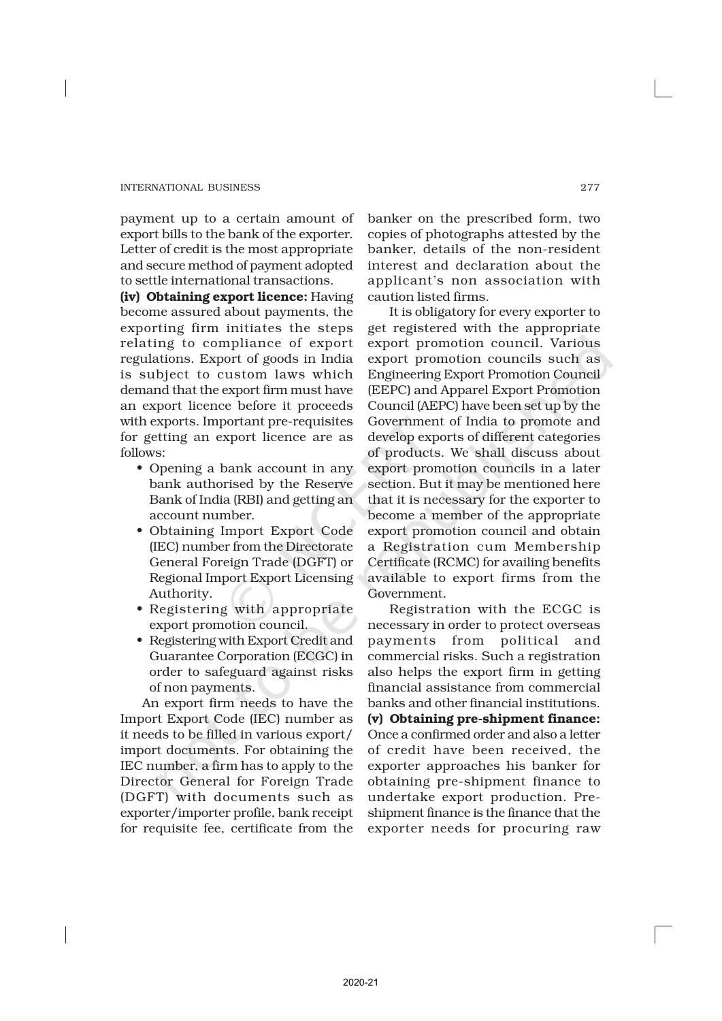payment up to a certain amount of export bills to the bank of the exporter. Letter of credit is the most appropriate and secure method of payment adopted to settle international transactions.

(iv) Obtaining export licence: Having become assured about payments, the exporting firm initiates the steps relating to compliance of export regulations. Export of goods in India is subject to custom laws which demand that the export firm must have an export licence before it proceeds with exports. Important pre-requisites for getting an export licence are as follows:

- Opening a bank account in any bank authorised by the Reserve Bank of India (RBI) and getting an account number.
- Obtaining Import Export Code (IEC) number from the Directorate General Foreign Trade (DGFT) or Regional Import Export Licensing Authority.
- Registering with appropriate export promotion council.
- Registering with Export Credit and Guarantee Corporation (ECGC) in order to safeguard against risks of non payments.

An export firm needs to have the Import Export Code (IEC) number as it needs to be filled in various export/ import documents. For obtaining the IEC number, a firm has to apply to the Director General for Foreign Trade (DGFT) with documents such as exporter/importer profile, bank receipt for requisite fee, certificate from the

banker on the prescribed form, two copies of photographs attested by the banker, details of the non-resident interest and declaration about the applicant's non association with caution listed firms.

It is obligatory for every exporter to get registered with the appropriate export promotion council. Various export promotion councils such as Engineering Export Promotion Council (EEPC) and Apparel Export Promotion Council (AEPC) have been set up by the Government of India to promote and develop exports of different categories of products. We shall discuss about export promotion councils in a later section. But it may be mentioned here that it is necessary for the exporter to become a member of the appropriate export promotion council and obtain a Registration cum Membership Certificate (RCMC) for availing benefits available to export firms from the Government.

Registration with the ECGC is necessary in order to protect overseas payments from political and commercial risks. Such a registration also helps the export firm in getting financial assistance from commercial banks and other financial institutions. (v) Obtaining pre-shipment finance: Once a confirmed order and also a letter of credit have been received, the exporter approaches his banker for obtaining pre-shipment finance to undertake export production. Preshipment finance is the finance that the exporter needs for procuring raw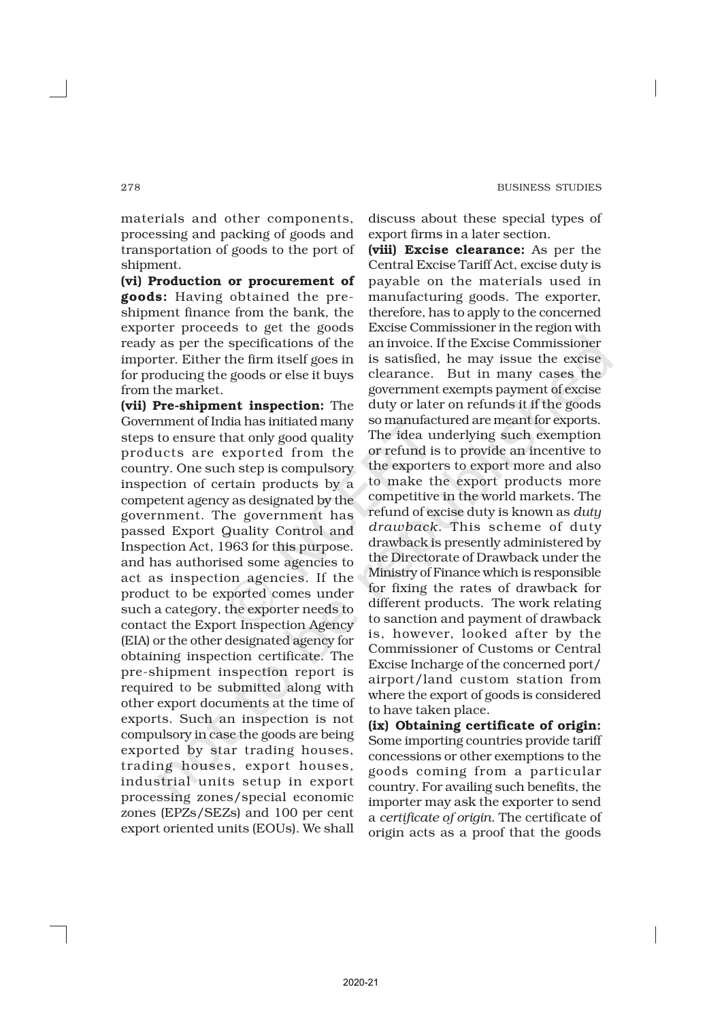materials and other components, processing and packing of goods and transportation of goods to the port of shipment.

(vi) Production or procurement of goods: Having obtained the preshipment finance from the bank, the exporter proceeds to get the goods ready as per the specifications of the importer. Either the firm itself goes in for producing the goods or else it buys from the market.

(vii) Pre-shipment inspection: The Government of India has initiated many steps to ensure that only good quality products are exported from the country. One such step is compulsory inspection of certain products by a competent agency as designated by the government. The government has passed Export Quality Control and Inspection Act, 1963 for this purpose. and has authorised some agencies to act as inspection agencies. If the product to be exported comes under such a category, the exporter needs to contact the Export Inspection Agency (EIA) or the other designated agency for obtaining inspection certificate. The pre-shipment inspection report is required to be submitted along with other export documents at the time of exports. Such an inspection is not compulsory in case the goods are being exported by star trading houses, trading houses, export houses, industrial units setup in export processing zones/special economic zones (EPZs/SEZs) and 100 per cent export oriented units (EOUs). We shall

discuss about these special types of export firms in a later section.

(viii) Excise clearance: As per the Central Excise Tariff Act, excise duty is payable on the materials used in manufacturing goods. The exporter, therefore, has to apply to the concerned Excise Commissioner in the region with an invoice. If the Excise Commissioner is satisfied, he may issue the excise clearance. But in many cases the government exempts payment of excise duty or later on refunds it if the goods so manufactured are meant for exports. The idea underlying such exemption or refund is to provide an incentive to the exporters to export more and also to make the export products more competitive in the world markets. The refund of excise duty is known as *duty drawback*. This scheme of duty drawback is presently administered by the Directorate of Drawback under the Ministry of Finance which is responsible for fixing the rates of drawback for different products. The work relating to sanction and payment of drawback is, however, looked after by the Commissioner of Customs or Central Excise Incharge of the concerned port/ airport/land custom station from where the export of goods is considered to have taken place.

(ix) Obtaining certificate of origin: Some importing countries provide tariff concessions or other exemptions to the goods coming from a particular country. For availing such benefits, the importer may ask the exporter to send a *certificate of origin*. The certificate of origin acts as a proof that the goods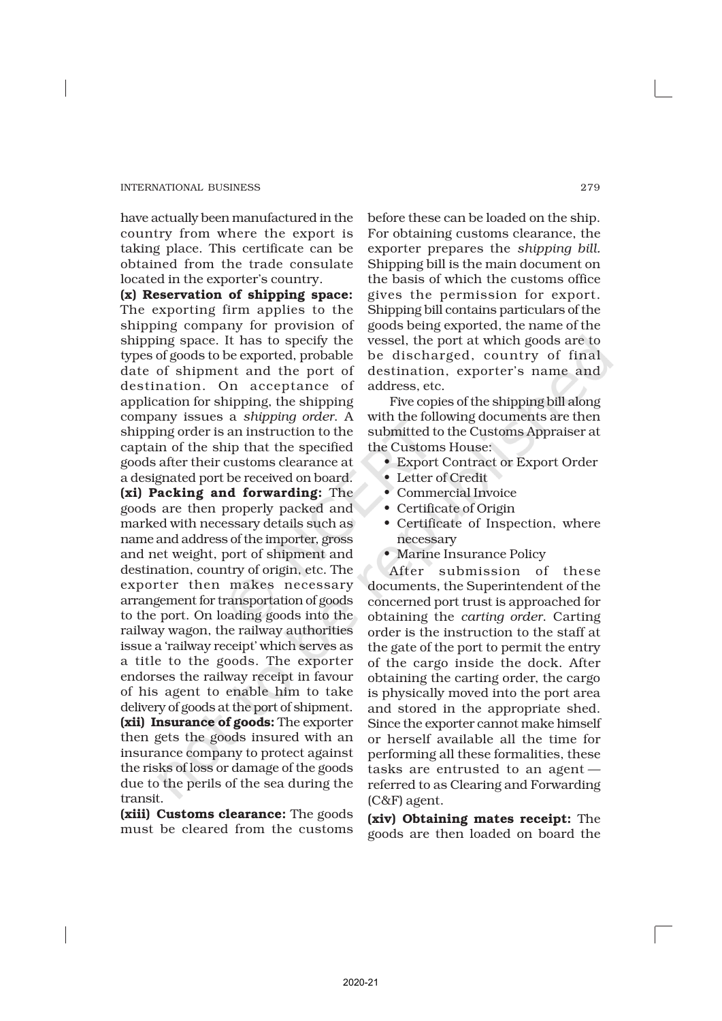have actually been manufactured in the country from where the export is taking place. This certificate can be obtained from the trade consulate located in the exporter's country.

(x) Reservation of shipping space: The exporting firm applies to the shipping company for provision of shipping space. It has to specify the types of goods to be exported, probable date of shipment and the port of destination. On acceptance of application for shipping, the shipping company issues a *shipping order*. A shipping order is an instruction to the captain of the ship that the specified goods after their customs clearance at a designated port be received on board. (xi) Packing and forwarding: The goods are then properly packed and marked with necessary details such as name and address of the importer, gross and net weight, port of shipment and destination, country of origin, etc. The exporter then makes necessary arrangement for transportation of goods to the port. On loading goods into the railway wagon, the railway authorities issue a 'railway receipt' which serves as a title to the goods. The exporter endorses the railway receipt in favour of his agent to enable him to take delivery of goods at the port of shipment. (xii) Insurance of goods: The exporter then gets the goods insured with an insurance company to protect against the risks of loss or damage of the goods due to the perils of the sea during the transit.

(xiii) Customs clearance: The goods must be cleared from the customs before these can be loaded on the ship. For obtaining customs clearance, the exporter prepares the *shipping bill.* Shipping bill is the main document on the basis of which the customs office gives the permission for export. Shipping bill contains particulars of the goods being exported, the name of the vessel, the port at which goods are to be discharged, country of final destination, exporter's name and address, etc.

Five copies of the shipping bill along with the following documents are then submitted to the Customs Appraiser at the Customs House:

- Export Contract or Export Order
- Letter of Credit
- Commercial Invoice
- Certificate of Origin
- Certificate of Inspection, where necessary
- Marine Insurance Policy

After submission of these documents, the Superintendent of the concerned port trust is approached for obtaining the *carting order*. Carting order is the instruction to the staff at the gate of the port to permit the entry of the cargo inside the dock. After obtaining the carting order, the cargo is physically moved into the port area and stored in the appropriate shed. Since the exporter cannot make himself or herself available all the time for performing all these formalities, these tasks are entrusted to an agent referred to as Clearing and Forwarding (C&F) agent.

(xiv) Obtaining mates receipt: The goods are then loaded on board the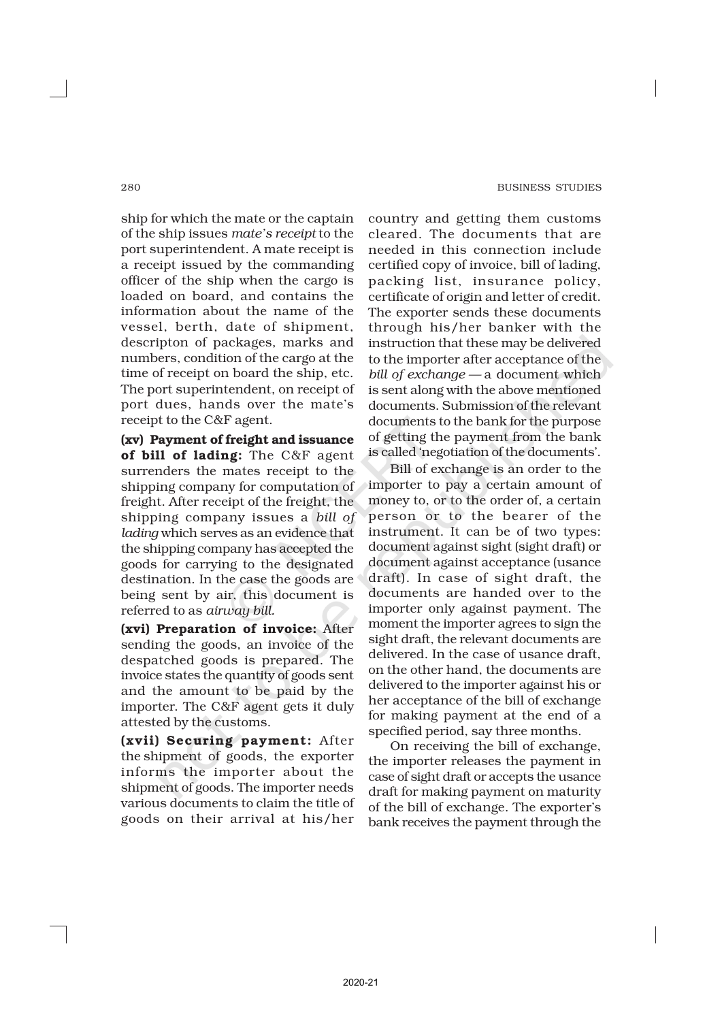ship for which the mate or the captain of the ship issues *mate's receipt* to the port superintendent. A mate receipt is a receipt issued by the commanding officer of the ship when the cargo is loaded on board, and contains the information about the name of the vessel, berth, date of shipment, descripton of packages, marks and numbers, condition of the cargo at the time of receipt on board the ship, etc. The port superintendent, on receipt of port dues, hands over the mate's receipt to the C&F agent.

(xv) Payment of freight and issuance of bill of lading: The C&F agent surrenders the mates receipt to the shipping company for computation of freight. After receipt of the freight, the shipping company issues a *bill of lading* which serves as an evidence that the shipping company has accepted the goods for carrying to the designated destination. In the case the goods are being sent by air, this document is referred to as *airway bill.*

(xvi) Preparation of invoice: After sending the goods, an invoice of the despatched goods is prepared. The invoice states the quantity of goods sent and the amount to be paid by the importer. The C&F agent gets it duly attested by the customs.

(xvii) Securing payment: After the shipment of goods, the exporter informs the importer about the shipment of goods. The importer needs various documents to claim the title of goods on their arrival at his/her

country and getting them customs cleared. The documents that are needed in this connection include certified copy of invoice, bill of lading, packing list, insurance policy, certificate of origin and letter of credit. The exporter sends these documents through his/her banker with the instruction that these may be delivered to the importer after acceptance of the *bill of exchange —* a document which is sent along with the above mentioned documents. Submission of the relevant documents to the bank for the purpose of getting the payment from the bank is called 'negotiation of the documents'.

Bill of exchange is an order to the importer to pay a certain amount of money to, or to the order of, a certain person or to the bearer of the instrument. It can be of two types: document against sight (sight draft) or document against acceptance (usance draft). In case of sight draft, the documents are handed over to the importer only against payment. The moment the importer agrees to sign the sight draft, the relevant documents are delivered. In the case of usance draft, on the other hand, the documents are delivered to the importer against his or her acceptance of the bill of exchange for making payment at the end of a specified period, say three months.

On receiving the bill of exchange, the importer releases the payment in case of sight draft or accepts the usance draft for making payment on maturity of the bill of exchange. The exporter's bank receives the payment through the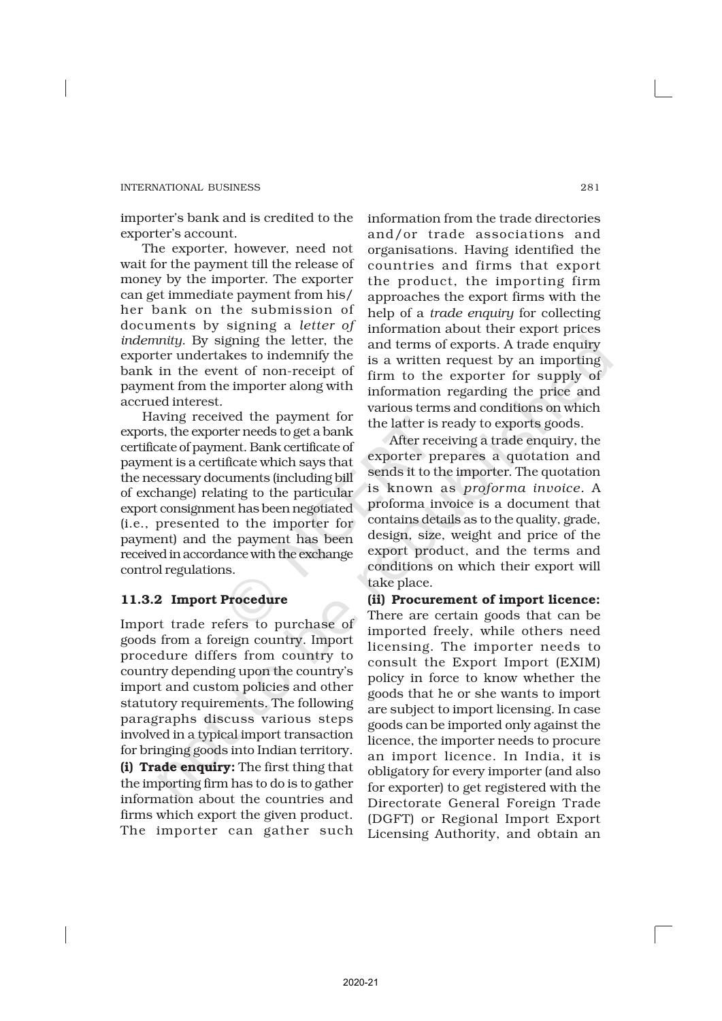importer's bank and is credited to the exporter's account.

The exporter, however, need not wait for the payment till the release of money by the importer. The exporter can get immediate payment from his/ her bank on the submission of documents by signing a *letter of indemnity*. By signing the letter, the exporter undertakes to indemnify the bank in the event of non-receipt of payment from the importer along with accrued interest.

Having received the payment for exports, the exporter needs to get a bank certificate of payment. Bank certificate of payment is a certificate which says that the necessary documents (including bill of exchange) relating to the particular export consignment has been negotiated (i.e., presented to the importer for payment) and the payment has been received in accordance with the exchange control regulations.

## 11.3.2 Import Procedure

Import trade refers to purchase of goods from a foreign country. Import procedure differs from country to country depending upon the country's import and custom policies and other statutory requirements. The following paragraphs discuss various steps involved in a typical import transaction for bringing goods into Indian territory. (i) Trade enquiry: The first thing that the importing firm has to do is to gather information about the countries and firms which export the given product. The importer can gather such

information from the trade directories and/or trade associations and organisations. Having identified the countries and firms that export the product, the importing firm approaches the export firms with the help of a *trade enquiry* for collecting information about their export prices and terms of exports. A trade enquiry is a written request by an importing firm to the exporter for supply of information regarding the price and various terms and conditions on which the latter is ready to exports goods.

After receiving a trade enquiry, the exporter prepares a quotation and sends it to the importer. The quotation is known as *proforma invoice.* A proforma invoice is a document that contains details as to the quality, grade, design, size, weight and price of the export product, and the terms and conditions on which their export will take place.

(ii) Procurement of import licence: There are certain goods that can be imported freely, while others need licensing. The importer needs to consult the Export Import (EXIM) policy in force to know whether the goods that he or she wants to import are subject to import licensing. In case goods can be imported only against the licence, the importer needs to procure an import licence. In India, it is obligatory for every importer (and also for exporter) to get registered with the Directorate General Foreign Trade (DGFT) or Regional Import Export Licensing Authority, and obtain an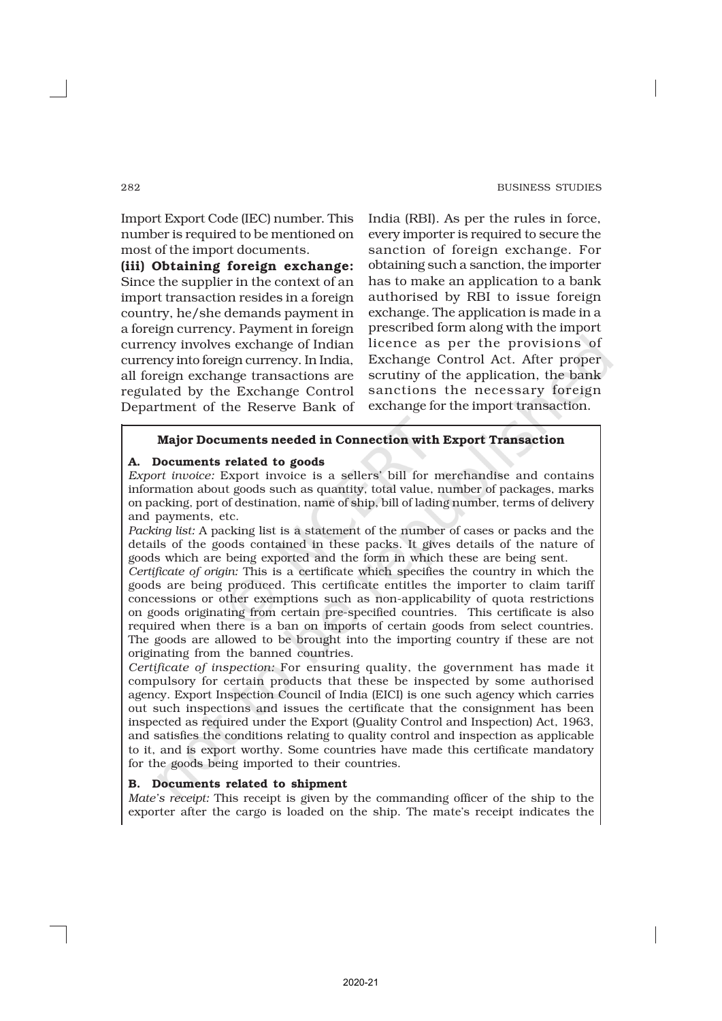Import Export Code (IEC) number. This number is required to be mentioned on most of the import documents.

(iii) Obtaining foreign exchange: Since the supplier in the context of an import transaction resides in a foreign country, he/she demands payment in a foreign currency. Payment in foreign currency involves exchange of Indian currency into foreign currency. In India, all foreign exchange transactions are regulated by the Exchange Control Department of the Reserve Bank of India (RBI). As per the rules in force, every importer is required to secure the sanction of foreign exchange. For obtaining such a sanction, the importer has to make an application to a bank authorised by RBI to issue foreign exchange. The application is made in a prescribed form along with the import licence as per the provisions of Exchange Control Act. After proper scrutiny of the application, the bank sanctions the necessary foreign exchange for the import transaction.

## Major Documents needed in Connection with Export Transaction

## A. Documents related to goods

*Export invoice:* Export invoice is a sellers' bill for merchandise and contains information about goods such as quantity, total value, number of packages, marks on packing, port of destination, name of ship, bill of lading number, terms of delivery and payments, etc.

*Packing list:* A packing list is a statement of the number of cases or packs and the details of the goods contained in these packs. It gives details of the nature of goods which are being exported and the form in which these are being sent.

*Certificate of origin:* This is a certificate which specifies the country in which the goods are being produced. This certificate entitles the importer to claim tariff concessions or other exemptions such as non-applicability of quota restrictions on goods originating from certain pre-specified countries. This certificate is also required when there is a ban on imports of certain goods from select countries. The goods are allowed to be brought into the importing country if these are not originating from the banned countries.

*Certificate of inspection:* For ensuring quality, the government has made it compulsory for certain products that these be inspected by some authorised agency. Export Inspection Council of India (EICI) is one such agency which carries out such inspections and issues the certificate that the consignment has been inspected as required under the Export (Quality Control and Inspection) Act, 1963, and satisfies the conditions relating to quality control and inspection as applicable to it, and is export worthy. Some countries have made this certificate mandatory for the goods being imported to their countries.

#### B. Documents related to shipment

*Mate's receipt:* This receipt is given by the commanding officer of the ship to the exporter after the cargo is loaded on the ship. The mate's receipt indicates the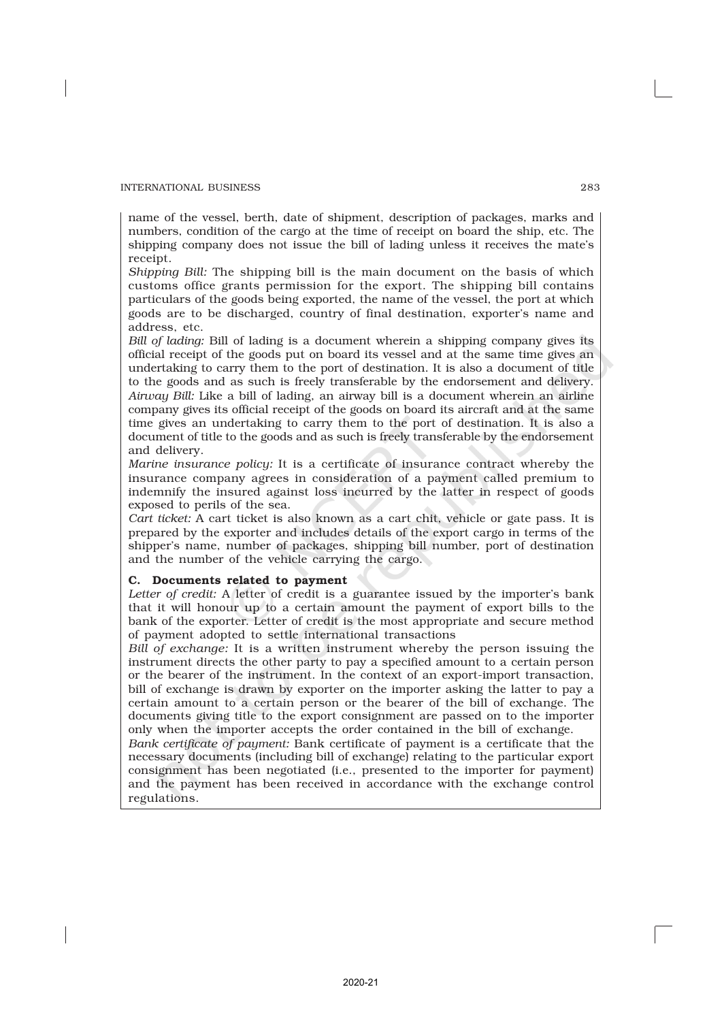name of the vessel, berth, date of shipment, description of packages, marks and numbers, condition of the cargo at the time of receipt on board the ship, etc. The shipping company does not issue the bill of lading unless it receives the mate's receipt.

*Shipping Bill:* The shipping bill is the main document on the basis of which customs office grants permission for the export. The shipping bill contains particulars of the goods being exported, the name of the vessel, the port at which goods are to be discharged, country of final destination, exporter's name and address, etc.

*Bill of lading:* Bill of lading is a document wherein a shipping company gives its official receipt of the goods put on board its vessel and at the same time gives an undertaking to carry them to the port of destination. It is also a document of title to the goods and as such is freely transferable by the endorsement and delivery. *Airway Bill:* Like a bill of lading, an airway bill is a document wherein an airline company gives its official receipt of the goods on board its aircraft and at the same time gives an undertaking to carry them to the port of destination. It is also a document of title to the goods and as such is freely transferable by the endorsement and delivery.

*Marine insurance policy:* It is a certificate of insurance contract whereby the insurance company agrees in consideration of a payment called premium to indemnify the insured against loss incurred by the latter in respect of goods exposed to perils of the sea.

*Cart ticket:* A cart ticket is also known as a cart chit, vehicle or gate pass. It is prepared by the exporter and includes details of the export cargo in terms of the shipper's name, number of packages, shipping bill number, port of destination and the number of the vehicle carrying the cargo.

#### C. Documents related to payment

*Letter of credit:* A letter of credit is a guarantee issued by the importer's bank that it will honour up to a certain amount the payment of export bills to the bank of the exporter. Letter of credit is the most appropriate and secure method of payment adopted to settle international transactions

*Bill of exchange:* It is a written instrument whereby the person issuing the instrument directs the other party to pay a specified amount to a certain person or the bearer of the instrument. In the context of an export-import transaction, bill of exchange is drawn by exporter on the importer asking the latter to pay a certain amount to a certain person or the bearer of the bill of exchange. The documents giving title to the export consignment are passed on to the importer only when the importer accepts the order contained in the bill of exchange.

*Bank certificate of payment:* Bank certificate of payment is a certificate that the necessary documents (including bill of exchange) relating to the particular export consignment has been negotiated (i.e., presented to the importer for payment) and the payment has been received in accordance with the exchange control regulations.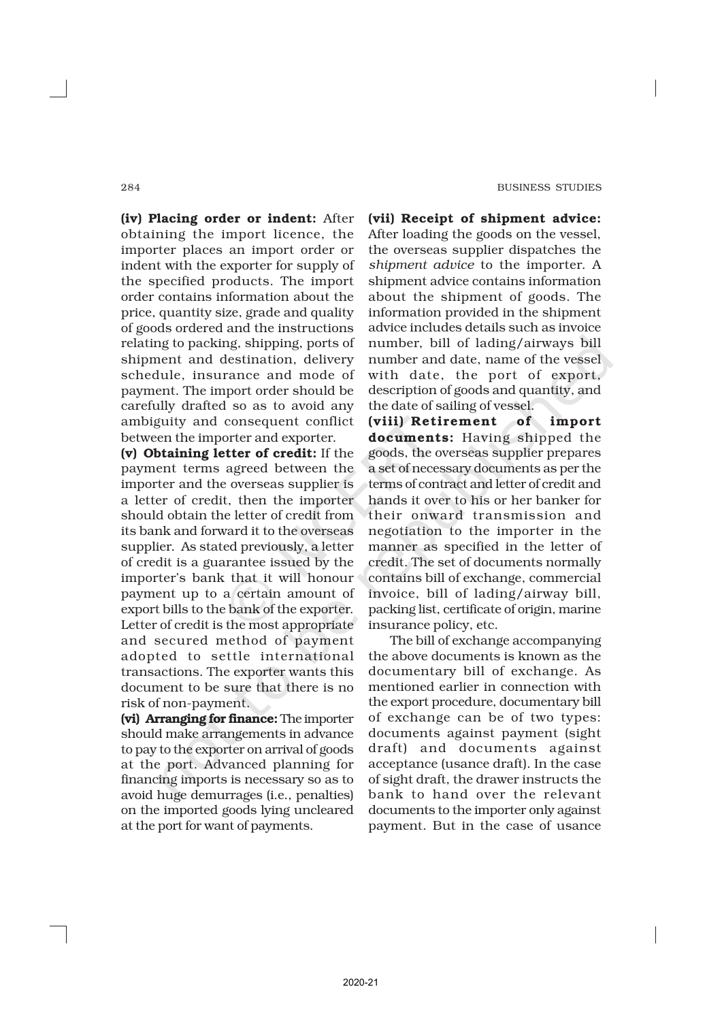(iv) Placing order or indent: After obtaining the import licence, the importer places an import order or indent with the exporter for supply of the specified products. The import order contains information about the price, quantity size, grade and quality of goods ordered and the instructions relating to packing, shipping, ports of shipment and destination, delivery schedule, insurance and mode of payment. The import order should be carefully drafted so as to avoid any ambiguity and consequent conflict between the importer and exporter.

(v) Obtaining letter of credit: If the payment terms agreed between the importer and the overseas supplier is a letter of credit, then the importer should obtain the letter of credit from its bank and forward it to the overseas supplier. As stated previously, a letter of credit is a guarantee issued by the importer's bank that it will honour payment up to a certain amount of export bills to the bank of the exporter. Letter of credit is the most appropriate and secured method of payment adopted to settle international transactions. The exporter wants this document to be sure that there is no risk of non-payment.

(vi) Arranging for finance: The importer should make arrangements in advance to pay to the exporter on arrival of goods at the port. Advanced planning for financing imports is necessary so as to avoid huge demurrages (i.e., penalties) on the imported goods lying uncleared at the port for want of payments.

(vii) Receipt of shipment advice: After loading the goods on the vessel, the overseas supplier dispatches the *shipment advice* to the importer. A shipment advice contains information about the shipment of goods. The information provided in the shipment advice includes details such as invoice number, bill of lading/airways bill number and date, name of the vessel with date, the port of export, description of goods and quantity, and the date of sailing of vessel.

(viii) Retirement of import documents: Having shipped the goods, the overseas supplier prepares a set of necessary documents as per the terms of contract and letter of credit and hands it over to his or her banker for their onward transmission and negotiation to the importer in the manner as specified in the letter of credit. The set of documents normally contains bill of exchange, commercial invoice, bill of lading/airway bill, packing list, certificate of origin, marine insurance policy, etc.

The bill of exchange accompanying the above documents is known as the documentary bill of exchange. As mentioned earlier in connection with the export procedure, documentary bill of exchange can be of two types: documents against payment (sight draft) and documents against acceptance (usance draft). In the case of sight draft, the drawer instructs the bank to hand over the relevant documents to the importer only against payment. But in the case of usance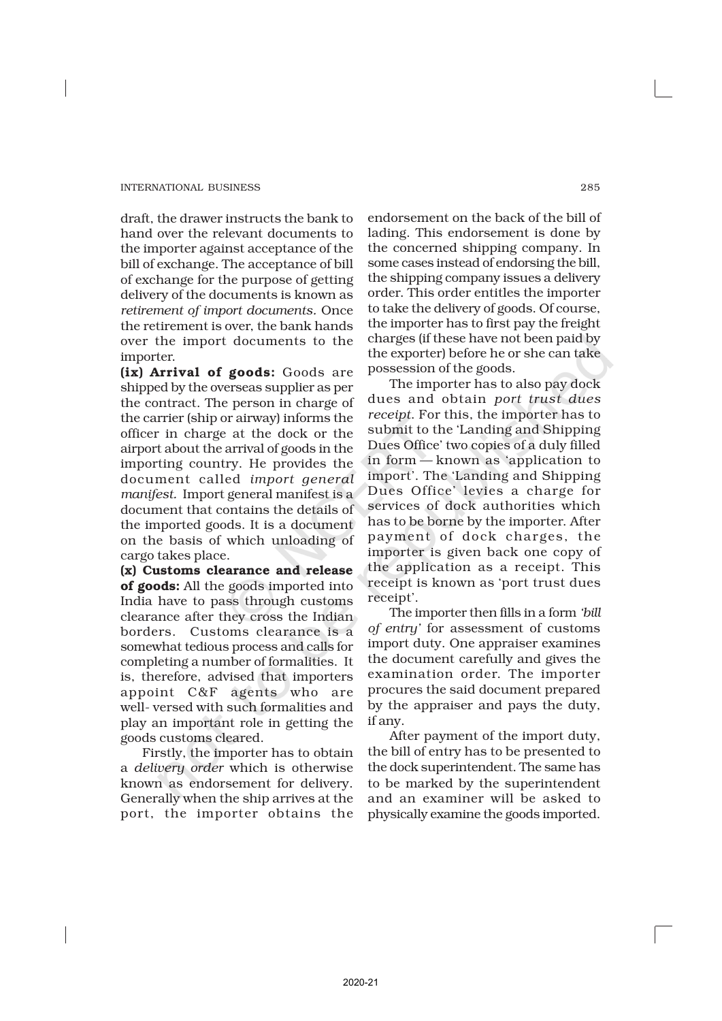draft, the drawer instructs the bank to hand over the relevant documents to the importer against acceptance of the bill of exchange. The acceptance of bill of exchange for the purpose of getting delivery of the documents is known as *retirement of import documents.* Once the retirement is over, the bank hands over the import documents to the importer.

(ix) Arrival of goods: Goods are shipped by the overseas supplier as per the contract. The person in charge of the carrier (ship or airway) informs the officer in charge at the dock or the airport about the arrival of goods in the importing country. He provides the document called *import general manifest.* Import general manifest is a document that contains the details of the imported goods. It is a document on the basis of which unloading of cargo takes place.

(x) Customs clearance and release of goods: All the goods imported into India have to pass through customs clearance after they cross the Indian borders. Customs clearance is a somewhat tedious process and calls for completing a number of formalities. It is, therefore, advised that importers appoint C&F agents who are well- versed with such formalities and play an important role in getting the goods customs cleared.

Firstly, the importer has to obtain a *delivery order* which is otherwise known as endorsement for delivery. Generally when the ship arrives at the port, the importer obtains the

endorsement on the back of the bill of lading. This endorsement is done by the concerned shipping company. In some cases instead of endorsing the bill, the shipping company issues a delivery order. This order entitles the importer to take the delivery of goods. Of course, the importer has to first pay the freight charges (if these have not been paid by the exporter) before he or she can take possession of the goods.

The importer has to also pay dock dues and obtain *port trust dues receipt*. For this, the importer has to submit to the 'Landing and Shipping Dues Office' two copies of a duly filled in form — known as 'application to import'. The 'Landing and Shipping Dues Office' levies a charge for services of dock authorities which has to be borne by the importer. After payment of dock charges, the importer is given back one copy of the application as a receipt. This receipt is known as 'port trust dues receipt'.

The importer then fills in a form *'bill of entry'* for assessment of customs import duty. One appraiser examines the document carefully and gives the examination order. The importer procures the said document prepared by the appraiser and pays the duty, if any.

After payment of the import duty, the bill of entry has to be presented to the dock superintendent. The same has to be marked by the superintendent and an examiner will be asked to physically examine the goods imported.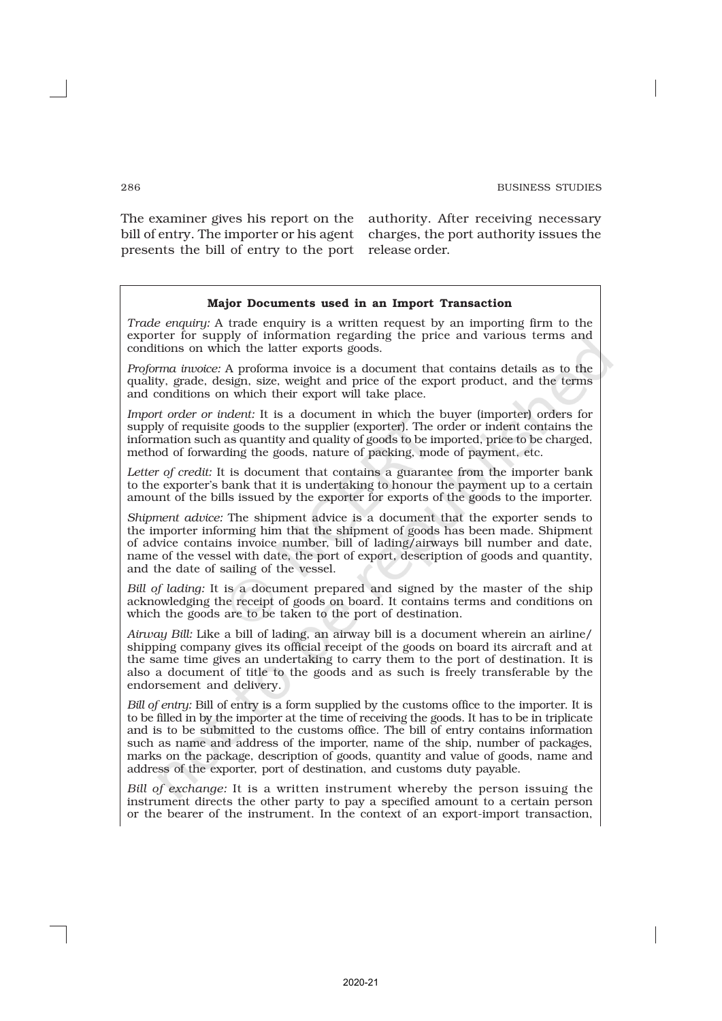The examiner gives his report on the authority. After receiving necessary bill of entry. The importer or his agent presents the bill of entry to the port release order.

charges, the port authority issues the

#### Major Documents used in an Import Transaction

*Trade enquiry:* A trade enquiry is a written request by an importing firm to the exporter for supply of information regarding the price and various terms and conditions on which the latter exports goods.

*Proforma invoice:* A proforma invoice is a document that contains details as to the quality, grade, design, size, weight and price of the export product, and the terms and conditions on which their export will take place.

*Import order or indent:* It is a document in which the buyer (importer) orders for supply of requisite goods to the supplier (exporter). The order or indent contains the information such as quantity and quality of goods to be imported, price to be charged, method of forwarding the goods, nature of packing, mode of payment, etc.

*Letter of credit:* It is document that contains a guarantee from the importer bank to the exporter's bank that it is undertaking to honour the payment up to a certain amount of the bills issued by the exporter for exports of the goods to the importer.

*Shipment advice:* The shipment advice is a document that the exporter sends to the importer informing him that the shipment of goods has been made. Shipment of advice contains invoice number, bill of lading/airways bill number and date, name of the vessel with date, the port of export, description of goods and quantity, and the date of sailing of the vessel.

*Bill of lading:* It is a document prepared and signed by the master of the ship acknowledging the receipt of goods on board. It contains terms and conditions on which the goods are to be taken to the port of destination.

*Airway Bill:* Like a bill of lading, an airway bill is a document wherein an airline/ shipping company gives its official receipt of the goods on board its aircraft and at the same time gives an undertaking to carry them to the port of destination. It is also a document of title to the goods and as such is freely transferable by the endorsement and delivery.

*Bill of entry:* Bill of entry is a form supplied by the customs office to the importer. It is to be filled in by the importer at the time of receiving the goods. It has to be in triplicate and is to be submitted to the customs office. The bill of entry contains information such as name and address of the importer, name of the ship, number of packages, marks on the package, description of goods, quantity and value of goods, name and address of the exporter, port of destination, and customs duty payable.

*Bill of exchange:* It is a written instrument whereby the person issuing the instrument directs the other party to pay a specified amount to a certain person or the bearer of the instrument. In the context of an export-import transaction,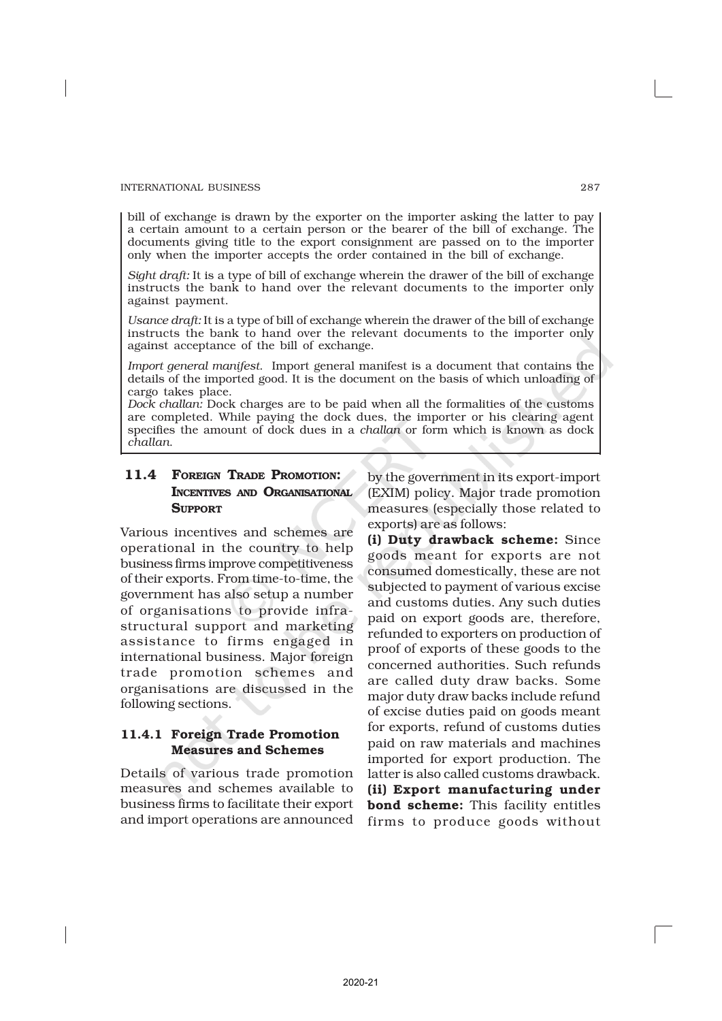bill of exchange is drawn by the exporter on the importer asking the latter to pay a certain amount to a certain person or the bearer of the bill of exchange. The documents giving title to the export consignment are passed on to the importer only when the importer accepts the order contained in the bill of exchange.

*Sight draft:* It is a type of bill of exchange wherein the drawer of the bill of exchange instructs the bank to hand over the relevant documents to the importer only against payment.

*Usance draft:* It is a type of bill of exchange wherein the drawer of the bill of exchange instructs the bank to hand over the relevant documents to the importer only against acceptance of the bill of exchange.

*Import general manifest*. Import general manifest is a document that contains the details of the imported good. It is the document on the basis of which unloading of cargo takes place.

*Dock challan:* Dock charges are to be paid when all the formalities of the customs are completed. While paying the dock dues, the importer or his clearing agent specifies the amount of dock dues in a *challan* or form which is known as dock *challan*.

## 11.4 FOREIGN TRADE PROMOTION: INCENTIVES AND ORGANISATIONAL **SUPPORT**

Various incentives and schemes are operational in the country to help business firms improve competitiveness of their exports. From time-to-time, the government has also setup a number of organisations to provide infrastructural support and marketing assistance to firms engaged in international business. Major foreign trade promotion schemes and organisations are discussed in the following sections.

## 11.4.1 Foreign Trade Promotion Measures and Schemes

Details of various trade promotion measures and schemes available to business firms to facilitate their export and import operations are announced by the government in its export-import (EXIM) policy. Major trade promotion measures (especially those related to exports) are as follows:

(i) Duty drawback scheme: Since goods meant for exports are not consumed domestically, these are not subjected to payment of various excise and customs duties. Any such duties paid on export goods are, therefore, refunded to exporters on production of proof of exports of these goods to the concerned authorities. Such refunds are called duty draw backs. Some major duty draw backs include refund of excise duties paid on goods meant for exports, refund of customs duties paid on raw materials and machines imported for export production. The latter is also called customs drawback. (ii) Export manufacturing under bond scheme: This facility entitles firms to produce goods without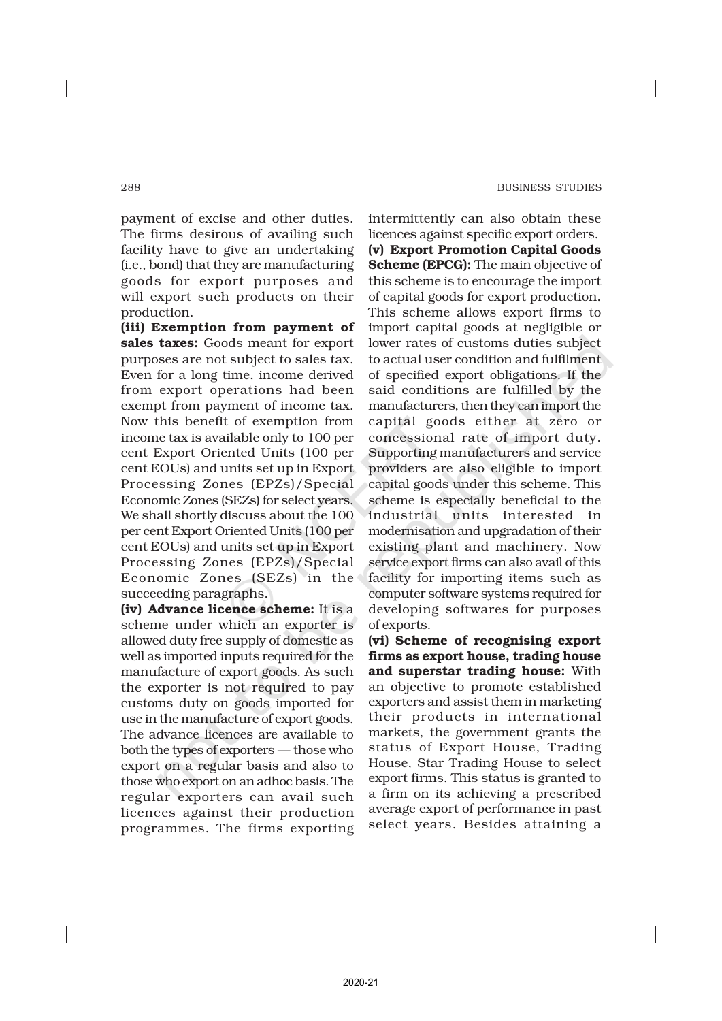payment of excise and other duties. The firms desirous of availing such facility have to give an undertaking (i.e., bond) that they are manufacturing goods for export purposes and will export such products on their production.

(iii) Exemption from payment of sales taxes: Goods meant for export purposes are not subject to sales tax. Even for a long time, income derived from export operations had been exempt from payment of income tax. Now this benefit of exemption from income tax is available only to 100 per cent Export Oriented Units (100 per cent EOUs) and units set up in Export Processing Zones (EPZs)/Special Economic Zones (SEZs) for select years. We shall shortly discuss about the 100 per cent Export Oriented Units (100 per cent EOUs) and units set up in Export Processing Zones (EPZs)/Special Economic Zones (SEZs) in the succeeding paragraphs.

(iv) Advance licence scheme: It is a scheme under which an exporter is allowed duty free supply of domestic as well as imported inputs required for the manufacture of export goods. As such the exporter is not required to pay customs duty on goods imported for use in the manufacture of export goods. The advance licences are available to both the types of exporters — those who export on a regular basis and also to those who export on an adhoc basis. The regular exporters can avail such licences against their production programmes. The firms exporting intermittently can also obtain these licences against specific export orders. (v) Export Promotion Capital Goods Scheme (EPCG): The main objective of this scheme is to encourage the import of capital goods for export production. This scheme allows export firms to import capital goods at negligible or lower rates of customs duties subject to actual user condition and fulfilment of specified export obligations. If the said conditions are fulfilled by the manufacturers, then they can import the capital goods either at zero or concessional rate of import duty. Supporting manufacturers and service providers are also eligible to import capital goods under this scheme. This scheme is especially beneficial to the industrial units interested in modernisation and upgradation of their existing plant and machinery. Now service export firms can also avail of this facility for importing items such as computer software systems required for developing softwares for purposes of exports.

(vi) Scheme of recognising export firms as export house, trading house and superstar trading house: With an objective to promote established exporters and assist them in marketing their products in international markets, the government grants the status of Export House, Trading House, Star Trading House to select export firms. This status is granted to a firm on its achieving a prescribed average export of performance in past select years. Besides attaining a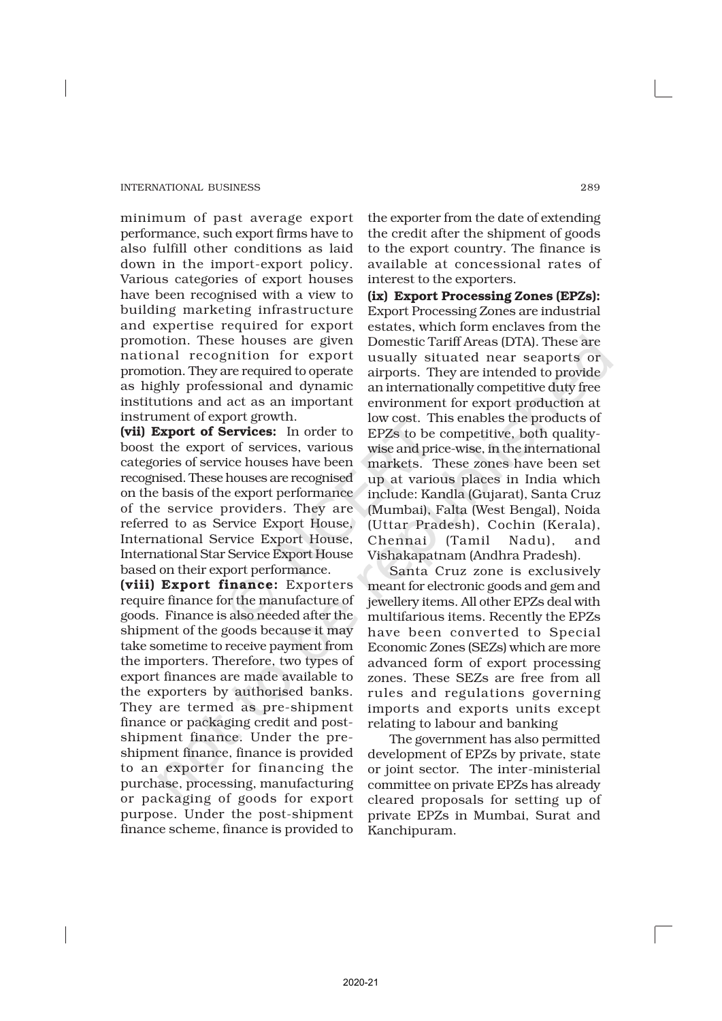minimum of past average export performance, such export firms have to also fulfill other conditions as laid down in the import-export policy. Various categories of export houses have been recognised with a view to building marketing infrastructure and expertise required for export promotion. These houses are given national recognition for export promotion. They are required to operate as highly professional and dynamic institutions and act as an important instrument of export growth.

(vii) Export of Services: In order to boost the export of services, various categories of service houses have been recognised. These houses are recognised on the basis of the export performance of the service providers. They are referred to as Service Export House, International Service Export House, International Star Service Export House based on their export performance.

(viii) Export finance: Exporters require finance for the manufacture of goods. Finance is also needed after the shipment of the goods because it may take sometime to receive payment from the importers. Therefore, two types of export finances are made available to the exporters by authorised banks. They are termed as pre-shipment finance or packaging credit and postshipment finance. Under the preshipment finance, finance is provided to an exporter for financing the purchase, processing, manufacturing or packaging of goods for export purpose. Under the post-shipment finance scheme, finance is provided to

the exporter from the date of extending the credit after the shipment of goods to the export country. The finance is available at concessional rates of interest to the exporters.

(ix) Export Processing Zones (EPZs): Export Processing Zones are industrial estates, which form enclaves from the Domestic Tariff Areas (DTA). These are usually situated near seaports or airports. They are intended to provide an internationally competitive duty free environment for export production at low cost. This enables the products of EPZs to be competitive, both qualitywise and price-wise, in the international markets. These zones have been set up at various places in India which include: Kandla (Gujarat), Santa Cruz (Mumbai), Falta (West Bengal), Noida (Uttar Pradesh), Cochin (Kerala), Chennai (Tamil Nadu), and Vishakapatnam (Andhra Pradesh).

Santa Cruz zone is exclusively meant for electronic goods and gem and jewellery items. All other EPZs deal with multifarious items. Recently the EPZs have been converted to Special Economic Zones (SEZs) which are more advanced form of export processing zones. These SEZs are free from all rules and regulations governing imports and exports units except relating to labour and banking

The government has also permitted development of EPZs by private, state or joint sector. The inter-ministerial committee on private EPZs has already cleared proposals for setting up of private EPZs in Mumbai, Surat and Kanchipuram.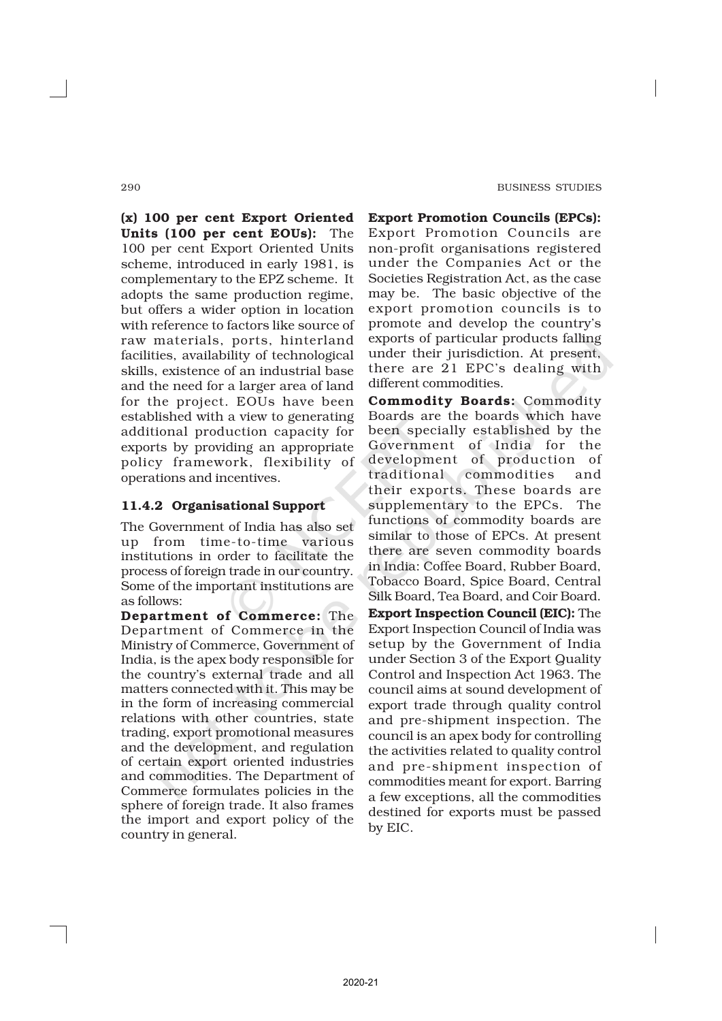(x) 100 per cent Export Oriented Units (100 per cent EOUs): The 100 per cent Export Oriented Units scheme, introduced in early 1981, is complementary to the EPZ scheme. It adopts the same production regime, but offers a wider option in location with reference to factors like source of raw materials, ports, hinterland facilities, availability of technological skills, existence of an industrial base and the need for a larger area of land for the project. EOUs have been established with a view to generating additional production capacity for exports by providing an appropriate policy framework, flexibility of operations and incentives.

## 11.4.2 Organisational Support

The Government of India has also set up from time-to-time various institutions in order to facilitate the process of foreign trade in our country. Some of the important institutions are as follows:

Department of Commerce: The Department of Commerce in the Ministry of Commerce, Government of India, is the apex body responsible for the country's external trade and all matters connected with it. This may be in the form of increasing commercial relations with other countries, state trading, export promotional measures and the development, and regulation of certain export oriented industries and commodities. The Department of Commerce formulates policies in the sphere of foreign trade. It also frames the import and export policy of the country in general.

Export Promotion Councils (EPCs): Export Promotion Councils are non-profit organisations registered under the Companies Act or the Societies Registration Act, as the case may be. The basic objective of the export promotion councils is to promote and develop the country's exports of particular products falling under their jurisdiction. At present, there are 21 EPC's dealing with different commodities.

Commodity Boards: Commodity Boards are the boards which have been specially established by the Government of India for the development of production of traditional commodities and their exports. These boards are supplementary to the EPCs. The functions of commodity boards are similar to those of EPCs. At present there are seven commodity boards in India: Coffee Board, Rubber Board, Tobacco Board, Spice Board, Central Silk Board, Tea Board, and Coir Board. Export Inspection Council (EIC): The Export Inspection Council of India was setup by the Government of India under Section 3 of the Export Quality Control and Inspection Act 1963. The council aims at sound development of export trade through quality control and pre-shipment inspection. The council is an apex body for controlling the activities related to quality control and pre-shipment inspection of commodities meant for export. Barring a few exceptions, all the commodities destined for exports must be passed by EIC.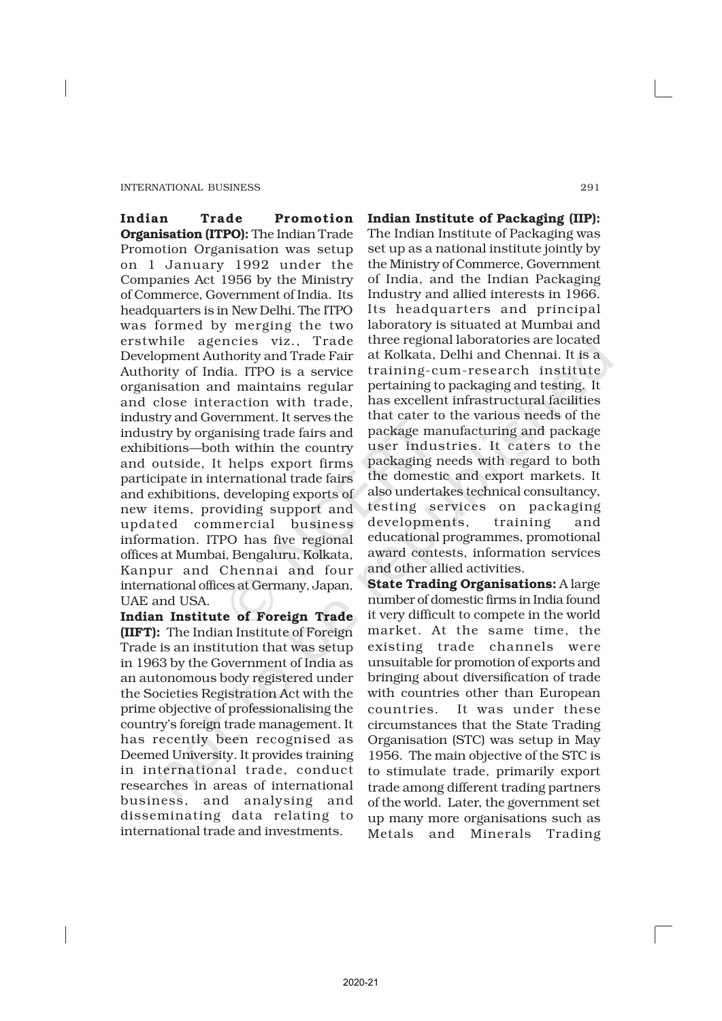Indian Trade Promotion Organisation (ITPO): The Indian Trade Promotion Organisation was setup on 1 January 1992 under the Companies Act 1956 by the Ministry of Commerce, Government of India. Its headquarters is in New Delhi. The ITPO was formed by merging the two erstwhile agencies viz., Trade Development Authority and Trade Fair Authority of India. ITPO is a service organisation and maintains regular and close interaction with trade, industry and Government. It serves the industry by organising trade fairs and exhibitions—both within the country and outside, It helps export firms participate in international trade fairs and exhibitions, developing exports of new items, providing support and updated commercial business information. ITPO has five regional offices at Mumbai, Bengaluru, Kolkata, Kanpur and Chennai and four international offices at Germany, Japan, UAE and USA.

Indian Institute of Foreign Trade (IIFT): The Indian Institute of Foreign Trade is an institution that was setup in 1963 by the Government of India as an autonomous body registered under the Societies Registration Act with the prime objective of professionalising the country's foreign trade management. It has recently been recognised as Deemed University. It provides training in international trade, conduct researches in areas of international business, and analysing and disseminating data relating to international trade and investments.

Indian Institute of Packaging (IIP): The Indian Institute of Packaging was set up as a national institute jointly by the Ministry of Commerce, Government of India, and the Indian Packaging Industry and allied interests in 1966. Its headquarters and principal laboratory is situated at Mumbai and three regional laboratories are located at Kolkata, Delhi and Chennai. It is a training-cum-research institute pertaining to packaging and testing. It has excellent infrastructural facilities that cater to the various needs of the package manufacturing and package user industries. It caters to the packaging needs with regard to both the domestic and export markets. It also undertakes technical consultancy, testing services on packaging developments, training and educational programmes, promotional award contests, information services and other allied activities.

State Trading Organisations: A large number of domestic firms in India found it very difficult to compete in the world market. At the same time, the existing trade channels were unsuitable for promotion of exports and bringing about diversification of trade with countries other than European countries. It was under these circumstances that the State Trading Organisation (STC) was setup in May 1956. The main objective of the STC is to stimulate trade, primarily export trade among different trading partners of the world. Later, the government set up many more organisations such as Metals and Minerals Trading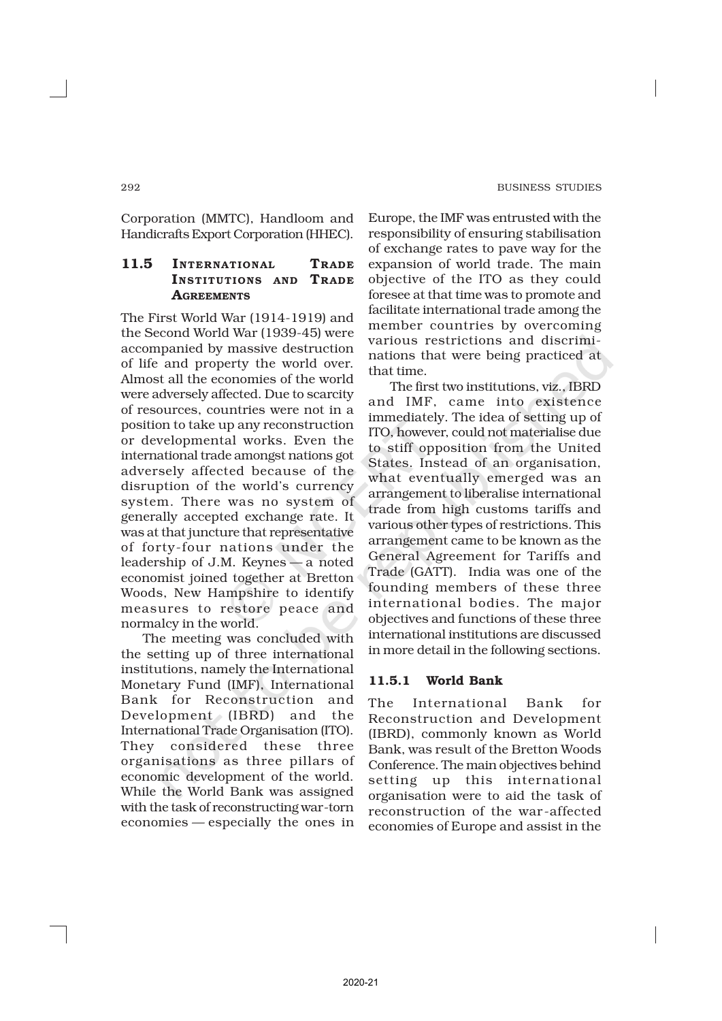Corporation (MMTC), Handloom and Handicrafts Export Corporation (HHEC).

## 11.5 INTERNATIONAL TRADE INSTITUTIONS AND TRADE **AGREEMENTS**

The First World War (1914-1919) and the Second World War (1939-45) were accompanied by massive destruction of life and property the world over. Almost all the economies of the world were adversely affected. Due to scarcity of resources, countries were not in a position to take up any reconstruction or developmental works. Even the international trade amongst nations got adversely affected because of the disruption of the world's currency system. There was no system of generally accepted exchange rate. It was at that juncture that representative of forty-four nations under the leadership of J.M. Keynes — a noted economist joined together at Bretton Woods, New Hampshire to identify measures to restore peace and normalcy in the world.

The meeting was concluded with the setting up of three international institutions, namely the International Monetary Fund (IMF), International Bank for Reconstruction and Development (IBRD) and the International Trade Organisation (ITO). They considered these three organisations as three pillars of economic development of the world. While the World Bank was assigned with the task of reconstructing war-torn economies — especially the ones in

Europe, the IMF was entrusted with the responsibility of ensuring stabilisation of exchange rates to pave way for the expansion of world trade. The main objective of the ITO as they could foresee at that time was to promote and facilitate international trade among the member countries by overcoming various restrictions and discriminations that were being practiced at that time.

The first two institutions, viz., IBRD and IMF, came into existence immediately. The idea of setting up of ITO, however, could not materialise due to stiff opposition from the United States. Instead of an organisation, what eventually emerged was an arrangement to liberalise international trade from high customs tariffs and various other types of restrictions. This arrangement came to be known as the General Agreement for Tariffs and Trade (GATT). India was one of the founding members of these three international bodies. The major objectives and functions of these three international institutions are discussed in more detail in the following sections.

#### 11.5.1 World Bank

The International Bank for Reconstruction and Development (IBRD), commonly known as World Bank, was result of the Bretton Woods Conference. The main objectives behind setting up this international organisation were to aid the task of reconstruction of the war -affected economies of Europe and assist in the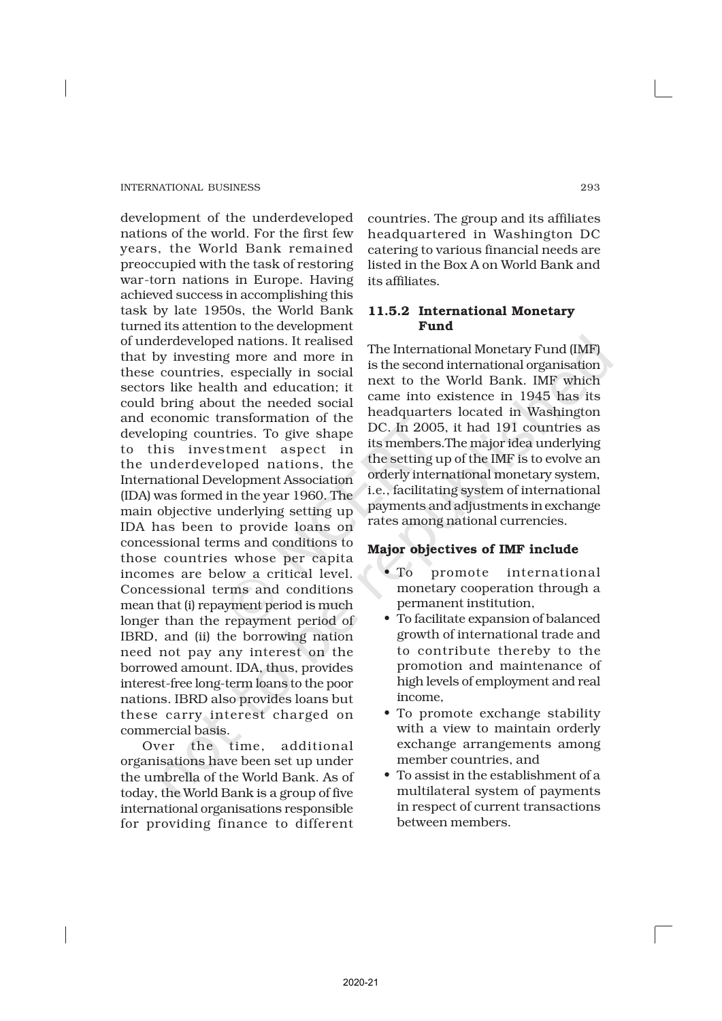development of the underdeveloped nations of the world. For the first few years, the World Bank remained preoccupied with the task of restoring war-torn nations in Europe. Having achieved success in accomplishing this task by late 1950s, the World Bank turned its attention to the development of underdeveloped nations. It realised that by investing more and more in these countries, especially in social sectors like health and education; it could bring about the needed social and economic transformation of the developing countries. To give shape to this investment aspect in the underdeveloped nations, the International Development Association (IDA) was formed in the year 1960. The main objective underlying setting up IDA has been to provide loans on concessional terms and conditions to those countries whose per capita incomes are below a critical level. Concessional terms and conditions mean that (i) repayment period is much longer than the repayment period of IBRD, and (ii) the borrowing nation need not pay any interest on the borrowed amount. IDA, thus, provides interest-free long-term loans to the poor nations. IBRD also provides loans but these carry interest charged on commercial basis.

Over the time, additional organisations have been set up under the umbrella of the World Bank. As of today, the World Bank is a group of five international organisations responsible for providing finance to different

countries. The group and its affiliates headquartered in Washington DC catering to various financial needs are listed in the Box A on World Bank and its affiliates.

## 11.5.2 International Monetary Fund

The International Monetary Fund (IMF) is the second international organisation next to the World Bank. IMF which came into existence in 1945 has its headquarters located in Washington DC. In 2005, it had 191 countries as its members.The major idea underlying the setting up of the IMF is to evolve an orderly international monetary system, i.e., facilitating system of international payments and adjustments in exchange rates among national currencies.

## Major objectives of IMF include

- To promote international monetary cooperation through a permanent institution,
- To facilitate expansion of balanced growth of international trade and to contribute thereby to the promotion and maintenance of high levels of employment and real income,
- To promote exchange stability with a view to maintain orderly exchange arrangements among member countries, and
- To assist in the establishment of a multilateral system of payments in respect of current transactions between members.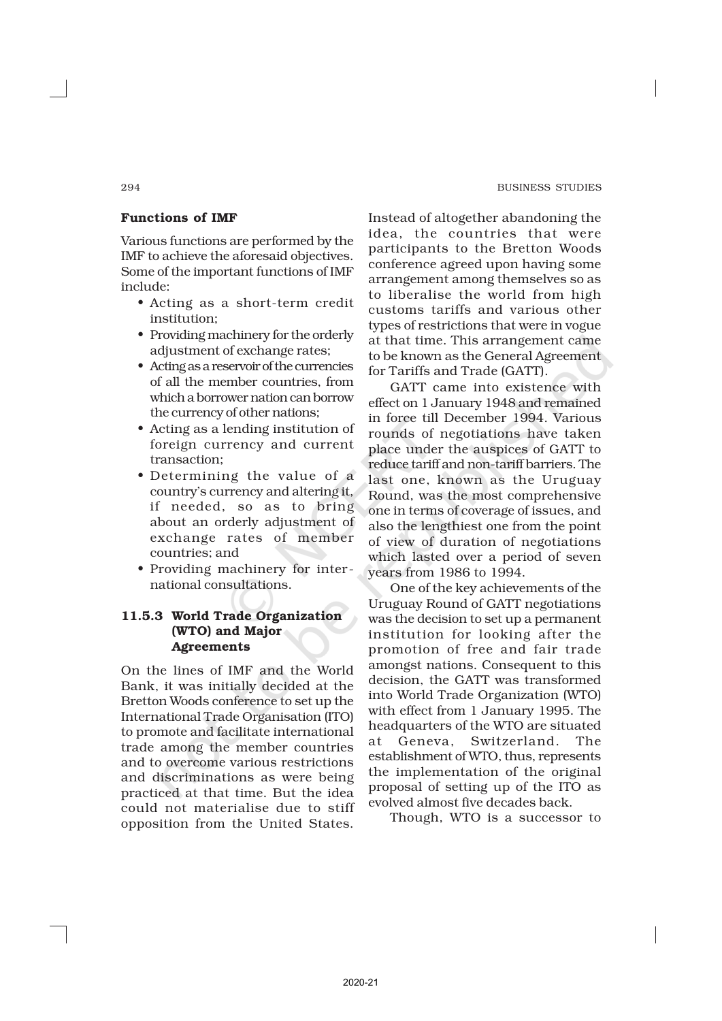#### 294 BUSINESS STUDIES

## Functions of IMF

Various functions are performed by the IMF to achieve the aforesaid objectives. Some of the important functions of IMF include:

- Acting as a short-term credit institution;
- Providing machinery for the orderly adjustment of exchange rates;
- Acting as a reservoir of the currencies of all the member countries, from which a borrower nation can borrow the currency of other nations;
- Acting as a lending institution of foreign currency and current transaction;
- Determining the value of a country's currency and altering it, if needed, so as to bring about an orderly adjustment of exchange rates of member countries; and
- Providing machinery for inter national consultations.

## 11.5.3 World Trade Organization (WTO) and Major Agreements

On the lines of IMF and the World Bank, it was initially decided at the Bretton Woods conference to set up the International Trade Organisation (ITO) to promote and facilitate international trade among the member countries and to overcome various restrictions and discriminations as were being practiced at that time. But the idea could not materialise due to stiff opposition from the United States.

Instead of altogether abandoning the idea, the countries that were participants to the Bretton Woods conference agreed upon having some arrangement among themselves so as to liberalise the world from high customs tariffs and various other types of restrictions that were in vogue at that time. This arrangement came to be known as the General Agreement for Tariffs and Trade (GATT).

GATT came into existence with effect on 1 January 1948 and remained in force till December 1994. Various rounds of negotiations have taken place under the auspices of GATT to reduce tariff and non-tariff barriers. The last one, known as the Uruguay Round, was the most comprehensive one in terms of coverage of issues, and also the lengthiest one from the point of view of duration of negotiations which lasted over a period of seven years from 1986 to 1994.

One of the key achievements of the Uruguay Round of GATT negotiations was the decision to set up a permanent institution for looking after the promotion of free and fair trade amongst nations. Consequent to this decision, the GATT was transformed into World Trade Organization (WTO) with effect from 1 January 1995. The headquarters of the WTO are situated at Geneva, Switzerland. The establishment of WTO, thus, represents the implementation of the original proposal of setting up of the ITO as evolved almost five decades back.

Though, WTO is a successor to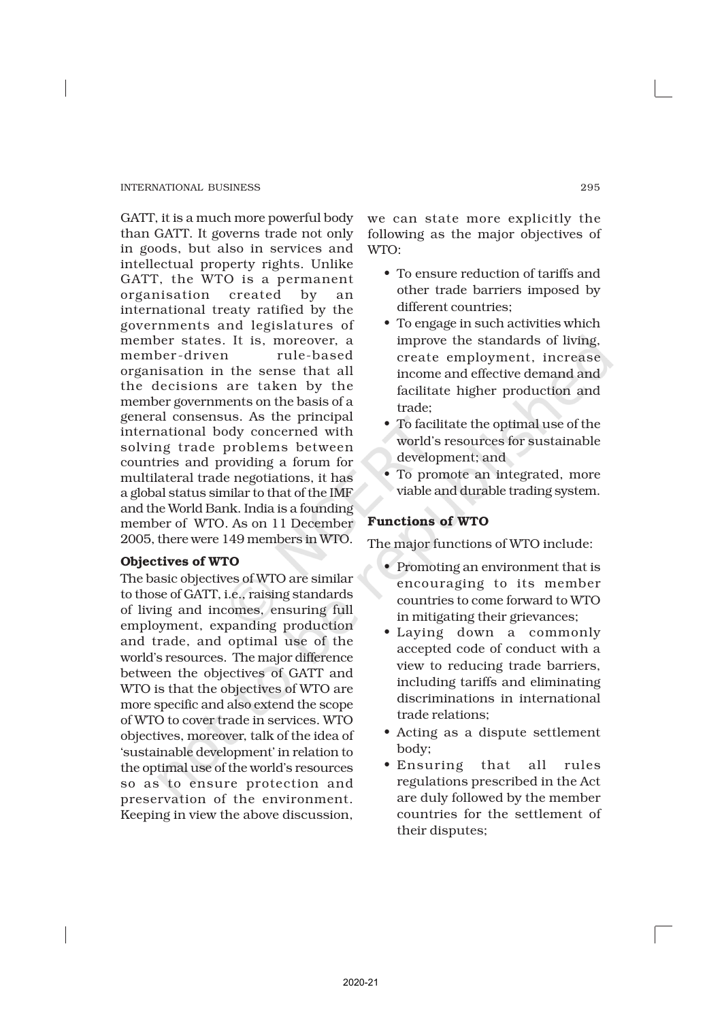GATT, it is a much more powerful body than GATT. It governs trade not only in goods, but also in services and intellectual property rights. Unlike GATT, the WTO is a permanent organisation created by an international treaty ratified by the governments and legislatures of member states. It is, moreover, a member-driven rule-based organisation in the sense that all the decisions are taken by the member governments on the basis of a general consensus. As the principal international body concerned with solving trade problems between countries and providing a forum for multilateral trade negotiations, it has a global status similar to that of the IMF and the World Bank. India is a founding member of WTO. As on 11 December 2005, there were 149 members in WTO.

## Objectives of WTO

The basic objectives of WTO are similar to those of GATT, i.e., raising standards of living and incomes, ensuring full employment, expanding production and trade, and optimal use of the world's resources. The major difference between the objectives of GATT and WTO is that the objectives of WTO are more specific and also extend the scope of WTO to cover trade in services. WTO objectives, moreover, talk of the idea of 'sustainable development' in relation to the optimal use of the world's resources so as to ensure protection and preservation of the environment. Keeping in view the above discussion,

we can state more explicitly the following as the major objectives of WTO:

- To ensure reduction of tariffs and other trade barriers imposed by different countries;
- To engage in such activities which improve the standards of living, create employment, increase income and effective demand and facilitate higher production and trade;
- To facilitate the optimal use of the world's resources for sustainable development; and
- To promote an integrated, more viable and durable trading system.

## Functions of WTO

The major functions of WTO include:

- Promoting an environment that is encouraging to its member countries to come forward to WTO in mitigating their grievances;
- Laying down a commonly accepted code of conduct with a view to reducing trade barriers, including tariffs and eliminating discriminations in international trade relations;
- Acting as a dispute settlement body;
- Ensuring that all rules regulations prescribed in the Act are duly followed by the member countries for the settlement of their disputes;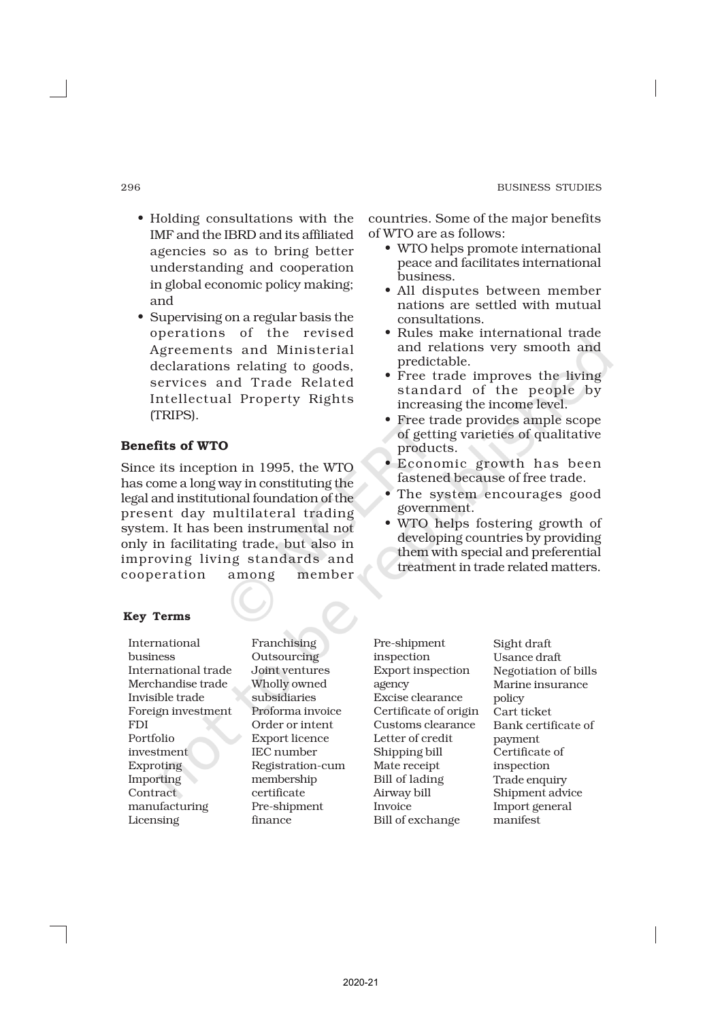- Holding consultations with the IMF and the IBRD and its affiliated agencies so as to bring better understanding and cooperation in global economic policy making; and
- Supervising on a regular basis the operations of the revised Agreements and Ministerial declarations relating to goods, services and Trade Related Intellectual Property Rights (TRIPS).

## Benefits of WTO

Since its inception in 1995, the WTO has come a long way in constituting the legal and institutional foundation of the present day multilateral trading system. It has been instrumental not only in facilitating trade, but also in improving living standards and cooperation among member

## Key Terms

International business International trade Merchandise trade Invisible trade Foreign investment FDI Portfolio investment Exproting Importing **Contract** manufacturing Licensing

Franchising Outsourcing Joint ventures Wholly owned subsidiaries Proforma invoice Order or intent Export licence IEC number Registration-cum membership certificate Pre-shipment finance

Pre-shipment inspection Export inspection agency Excise clearance Certificate of origin Customs clearance Letter of credit Shipping bill Mate receipt Bill of lading Airway bill Invoice Bill of exchange

Sight draft Usance draft Negotiation of bills Marine insurance policy Cart ticket Bank certificate of payment Certificate of inspection Trade enquiry Shipment advice Import general manifest

countries. Some of the major benefits of WTO are as follows:

- WTO helps promote international peace and facilitates international business.
- All disputes between member nations are settled with mutual consultations.
- Rules make international trade and relations very smooth and predictable.
- Free trade improves the living standard of the people by increasing the income level.
- Free trade provides ample scope of getting varieties of qualitative products.
- Economic growth has been fastened because of free trade.
- The system encourages good government.
- WTO helps fostering growth of developing countries by providing them with special and preferential treatment in trade related matters.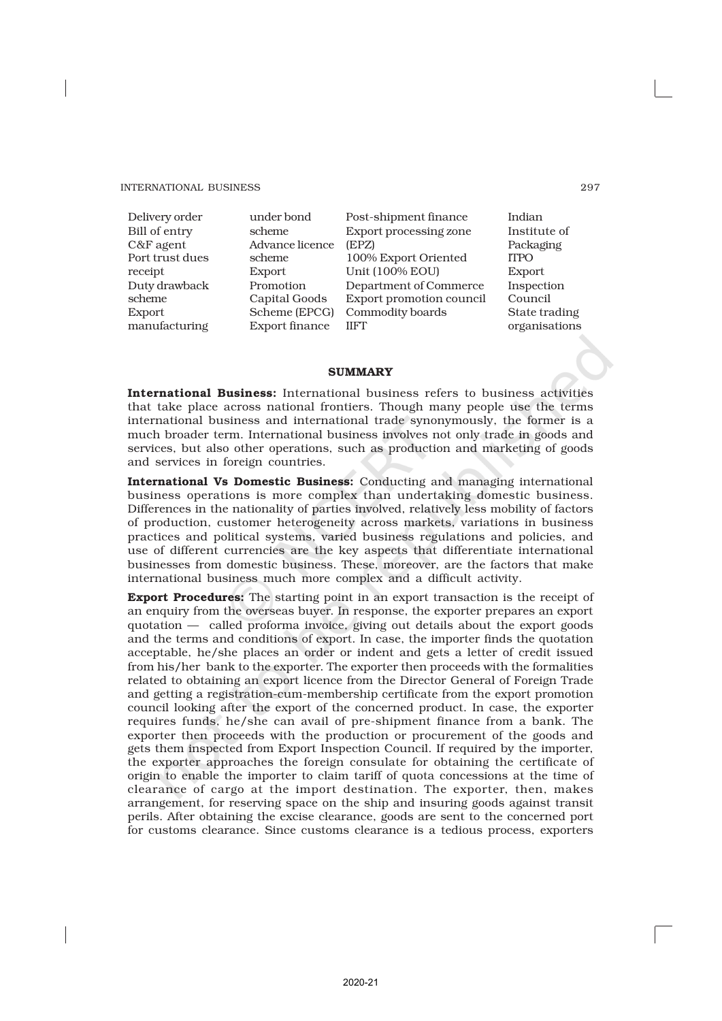Delivery order Bill of entry C&F agent Port trust dues receipt Duty drawback scheme Export manufacturing

under bond scheme Advance licence scheme Export Promotion Capital Goods Scheme (EPCG) Export finance

Post-shipment finance Export processing zone (EPZ) 100% Export Oriented Unit (100% EOU) Department of Commerce Export promotion council Commodity boards IIFT

Indian Institute of Packaging ITPO Export Inspection Council State trading organisations

#### **SUMMARY**

International Business: International business refers to business activities that take place across national frontiers. Though many people use the terms international business and international trade synonymously, the former is a much broader term. International business involves not only trade in goods and services, but also other operations, such as production and marketing of goods and services in foreign countries.

International Vs Domestic Business: Conducting and managing international business operations is more complex than undertaking domestic business. Differences in the nationality of parties involved, relatively less mobility of factors of production, customer heterogeneity across markets, variations in business practices and political systems, varied business regulations and policies, and use of different currencies are the key aspects that differentiate international businesses from domestic business. These, moreover, are the factors that make international business much more complex and a difficult activity.

Export Procedures: The starting point in an export transaction is the receipt of an enquiry from the overseas buyer. In response, the exporter prepares an export quotation — called proforma invoice, giving out details about the export goods and the terms and conditions of export. In case, the importer finds the quotation acceptable, he/she places an order or indent and gets a letter of credit issued from his/her bank to the exporter. The exporter then proceeds with the formalities related to obtaining an export licence from the Director General of Foreign Trade and getting a registration-cum-membership certificate from the export promotion council looking after the export of the concerned product. In case, the exporter requires funds, he/she can avail of pre-shipment finance from a bank. The exporter then proceeds with the production or procurement of the goods and gets them inspected from Export Inspection Council. If required by the importer, the exporter approaches the foreign consulate for obtaining the certificate of origin to enable the importer to claim tariff of quota concessions at the time of clearance of cargo at the import destination. The exporter, then, makes arrangement, for reserving space on the ship and insuring goods against transit perils. After obtaining the excise clearance, goods are sent to the concerned port for customs clearance. Since customs clearance is a tedious process, exporters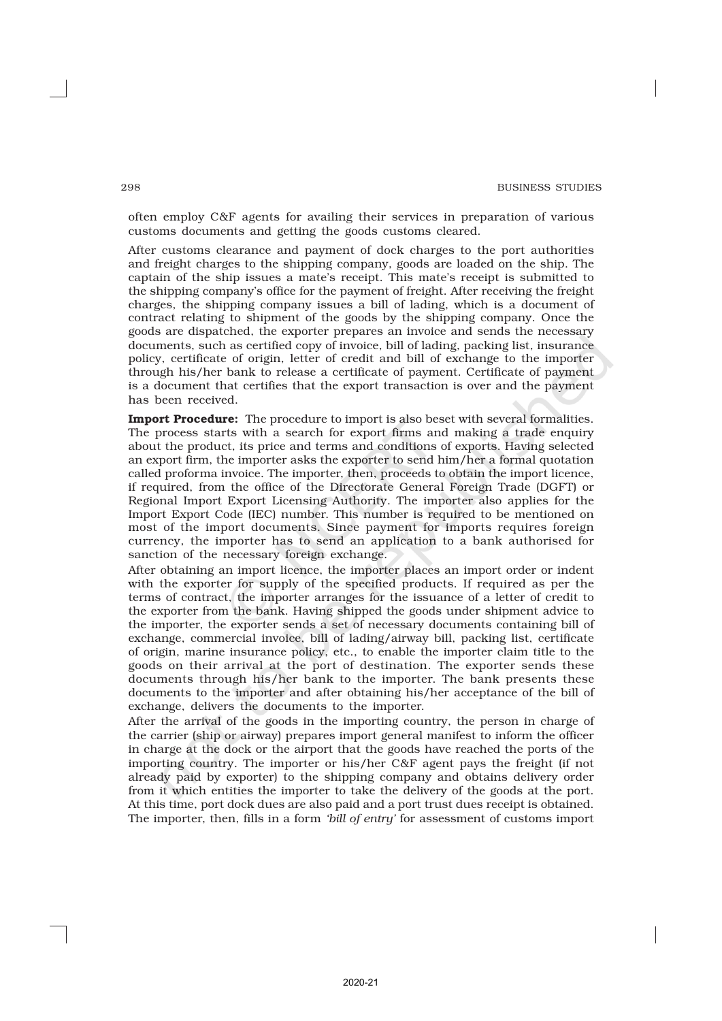often employ C&F agents for availing their services in preparation of various customs documents and getting the goods customs cleared.

After customs clearance and payment of dock charges to the port authorities and freight charges to the shipping company, goods are loaded on the ship. The captain of the ship issues a mate's receipt. This mate's receipt is submitted to the shipping company's office for the payment of freight. After receiving the freight charges, the shipping company issues a bill of lading, which is a document of contract relating to shipment of the goods by the shipping company. Once the goods are dispatched, the exporter prepares an invoice and sends the necessary documents, such as certified copy of invoice, bill of lading, packing list, insurance policy, certificate of origin, letter of credit and bill of exchange to the importer through his/her bank to release a certificate of payment. Certificate of payment is a document that certifies that the export transaction is over and the payment has been received.

Import Procedure: The procedure to import is also beset with several formalities. The process starts with a search for export firms and making a trade enquiry about the product, its price and terms and conditions of exports. Having selected an export firm, the importer asks the exporter to send him/her a formal quotation called proforma invoice. The importer, then, proceeds to obtain the import licence, if required, from the office of the Directorate General Foreign Trade (DGFT) or Regional Import Export Licensing Authority. The importer also applies for the Import Export Code (IEC) number. This number is required to be mentioned on most of the import documents. Since payment for imports requires foreign currency, the importer has to send an application to a bank authorised for sanction of the necessary foreign exchange.

After obtaining an import licence, the importer places an import order or indent with the exporter for supply of the specified products. If required as per the terms of contract, the importer arranges for the issuance of a letter of credit to the exporter from the bank. Having shipped the goods under shipment advice to the importer, the exporter sends a set of necessary documents containing bill of exchange, commercial invoice, bill of lading/airway bill, packing list, certificate of origin, marine insurance policy, etc., to enable the importer claim title to the goods on their arrival at the port of destination. The exporter sends these documents through his/her bank to the importer. The bank presents these documents to the importer and after obtaining his/her acceptance of the bill of exchange, delivers the documents to the importer.

After the arrival of the goods in the importing country, the person in charge of the carrier (ship or airway) prepares import general manifest to inform the officer in charge at the dock or the airport that the goods have reached the ports of the importing country. The importer or his/her C&F agent pays the freight (if not already paid by exporter) to the shipping company and obtains delivery order from it which entities the importer to take the delivery of the goods at the port. At this time, port dock dues are also paid and a port trust dues receipt is obtained. The importer, then, fills in a form *'bill of entry'* for assessment of customs import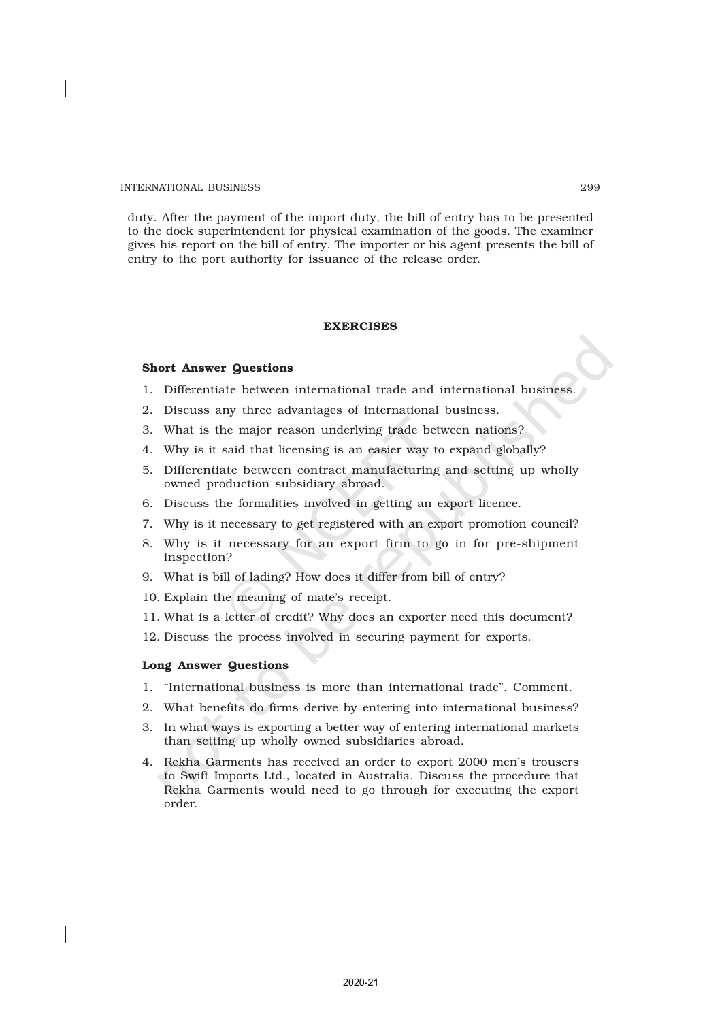duty. After the payment of the import duty, the bill of entry has to be presented to the dock superintendent for physical examination of the goods. The examiner gives his report on the bill of entry. The importer or his agent presents the bill of entry to the port authority for issuance of the release order.

#### EXERCISES

#### Short Answer Questions

- 1. Differentiate between international trade and international business.
- 2. Discuss any three advantages of international business.
- 3. What is the major reason underlying trade between nations?
- 4. Why is it said that licensing is an easier way to expand globally?
- 5. Differentiate between contract manufacturing and setting up wholly owned production subsidiary abroad.
- 6. Discuss the formalities involved in getting an export licence.
- 7. Why is it necessary to get registered with an export promotion council?
- 8. Why is it necessary for an export firm to go in for pre-shipment inspection?
- 9. What is bill of lading? How does it differ from bill of entry?
- 10. Explain the meaning of mate's receipt.
- 11. What is a letter of credit? Why does an exporter need this document?
- 12. Discuss the process involved in securing payment for exports.

#### Long Answer Questions

- 1. "International business is more than international trade". Comment.
- 2. What benefits do firms derive by entering into international business?
- 3. In what ways is exporting a better way of entering international markets than setting up wholly owned subsidiaries abroad.
- 4. Rekha Garments has received an order to export 2000 men's trousers to Swift Imports Ltd., located in Australia. Discuss the procedure that Rekha Garments would need to go through for executing the export order.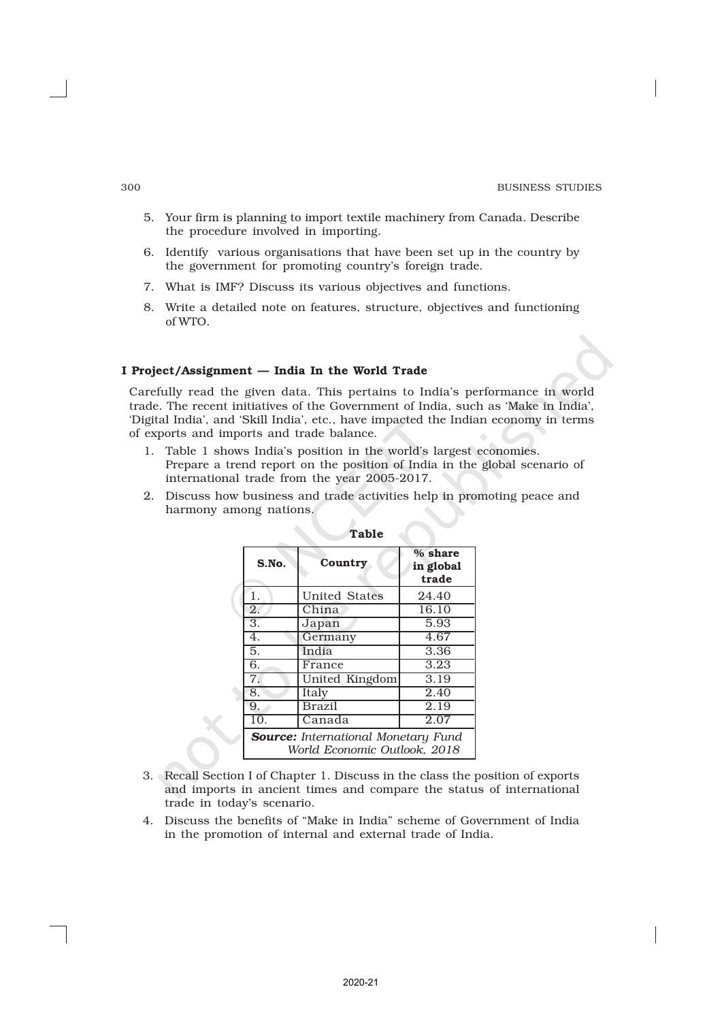- 5. Your firm is planning to import textile machinery from Canada. Describe the procedure involved in importing.
- 6. Identify various organisations that have been set up in the country by the government for promoting country's foreign trade.
- 7. What is IMF? Discuss its various objectives and functions.
- 8. Write a detailed note on features, structure, objectives and functioning of WTO.

#### I Project/Assignment — India In the World Trade

Carefully read the given data. This pertains to India's performance in world trade. The recent initiatives of the Government of India, such as 'Make in India', 'Digital India', and 'Skill India', etc., have impacted the Indian economy in terms of exports and imports and trade balance.

- 1. Table 1 shows India's position in the world's largest economies. Prepare a trend report on the position of India in the global scenario of international trade from the year 2005-2017.
- 2. Discuss how business and trade activities help in promoting peace and harmony among nations.

| S.No.                                                                      | Country        | $%$ share<br>in global<br>trade |
|----------------------------------------------------------------------------|----------------|---------------------------------|
| 1.                                                                         | United States  | 24.40                           |
| $\overline{2}$ .                                                           | China          | 16.10                           |
| 3.                                                                         | Japan          | 5.93                            |
| 4.                                                                         | Germany        | 4.67                            |
| 5.                                                                         | India          | 3.36                            |
| 6.                                                                         | France         | 3.23                            |
| 7.                                                                         | United Kingdom | 3.19                            |
| 8.                                                                         | Italy          | 2.40                            |
| 9.                                                                         | <b>Brazil</b>  | 2.19                            |
| 10.                                                                        | Canada         | 2.07                            |
| <b>Source:</b> International Monetary Fund<br>World Economic Outlook, 2018 |                |                                 |

Table

- 3. Recall Section I of Chapter 1. Discuss in the class the position of exports and imports in ancient times and compare the status of international trade in today's scenario.
- 4. Discuss the benefits of "Make in India" scheme of Government of India in the promotion of internal and external trade of India.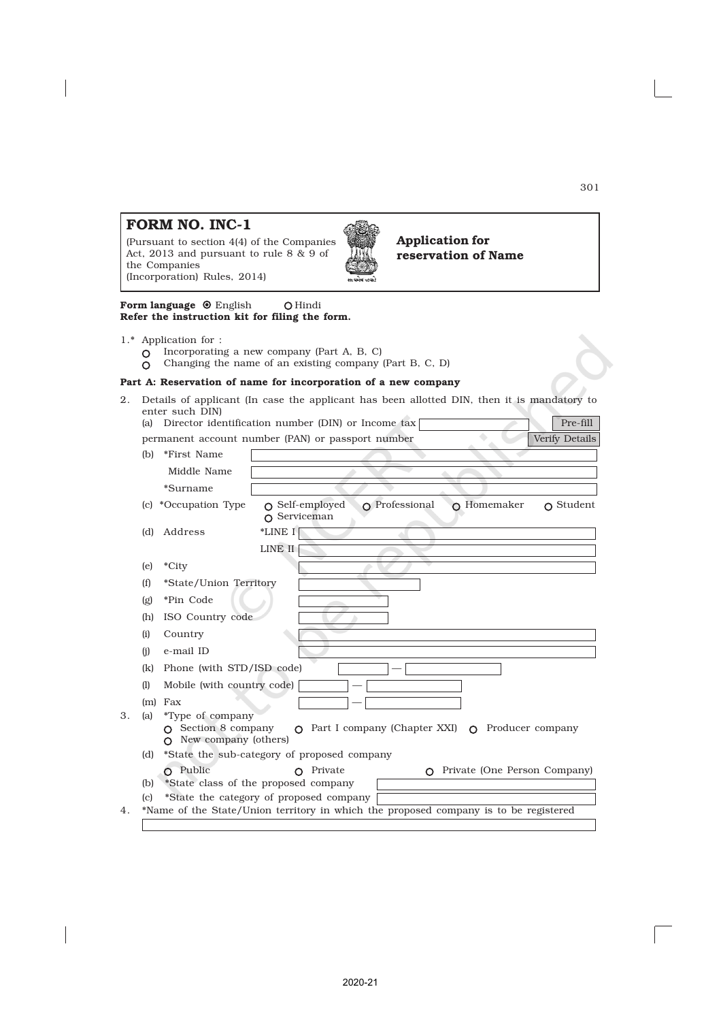#### 301

## FORM NO. INC-1

(Pursuant to section 4(4) of the Companies Act, 2013 and pursuant to rule 8 & 9 of the Companies (Incorporation) Rules, 2014)



Application for reservation of Name

Form language  $\odot$  English  $\odot$  Hindi Refer the instruction kit for filing the form.

- 1.\* Application for :
	- $O$  Incorporating a new company (Part A, B, C)
	- Changing the name of an existing company (Part B, C, D)  $\overline{O}$

#### Part A: Reservation of name for incorporation of a new company

2. Details of applicant (In case the applicant has been allotted DIN, then it is mandatory to enter such DIN) μ

| (a)                     |                                                                                           | Director identification number (DIN) or Income tax<br>Pre-fill                                                 |
|-------------------------|-------------------------------------------------------------------------------------------|----------------------------------------------------------------------------------------------------------------|
|                         |                                                                                           | Verify Details<br>permanent account number (PAN) or passport number                                            |
| (b)                     | *First Name                                                                               |                                                                                                                |
|                         | Middle Name                                                                               |                                                                                                                |
|                         | *Surname                                                                                  |                                                                                                                |
| (c)                     | *Occupation Type                                                                          | $\Omega$ Professional<br>$\Omega$ Self-employed<br>$\Omega$ Homemaker<br>$\cap$ Student<br>$\Omega$ Serviceman |
| (d)                     | Address                                                                                   | *LINE I                                                                                                        |
|                         |                                                                                           | LINE II                                                                                                        |
| (e)                     | *City                                                                                     |                                                                                                                |
| (f)                     | *State/Union Territory                                                                    |                                                                                                                |
| $\left(\text{g}\right)$ | *Pin Code                                                                                 |                                                                                                                |
| (h)                     | ISO Country code                                                                          |                                                                                                                |
| (i)                     | Country                                                                                   |                                                                                                                |
| (i)                     | e-mail ID                                                                                 |                                                                                                                |
| (k)                     | Phone (with STD/ISD code)                                                                 |                                                                                                                |
| (1)                     | Mobile (with country code)                                                                |                                                                                                                |
|                         | $(m)$ Fax                                                                                 |                                                                                                                |
| (a)                     | <i>*Type of company</i><br>$\Omega$ Section 8 company<br>New company (others)<br>$\Omega$ | $\Omega$ Part I company (Chapter XXI) $\Omega$<br>Producer company                                             |
| (d)                     |                                                                                           | *State the sub-category of proposed company                                                                    |
|                         | $\Omega$ Public                                                                           | Private (One Person Company)<br>Private<br>∩<br>$\Omega$                                                       |
| (b)                     |                                                                                           | *State class of the proposed company                                                                           |
|                         |                                                                                           | *State the category of proposed company                                                                        |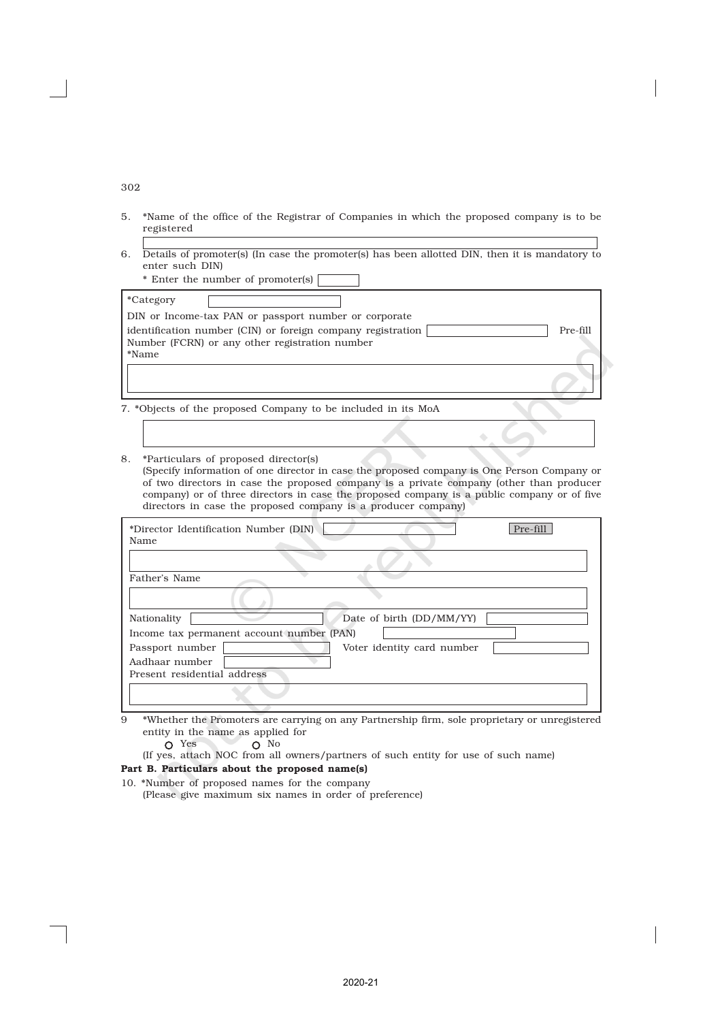302

- 5. \*Name of the office of the Registrar of Companies in which the proposed company is to be registered
- 6. Details of promoter(s) (In case the promoter(s) has been allotted DIN, then it is mandatory to enter such DIN)
	- \* Enter the number of promoter(s)

| Pre-fill |
|----------|
|          |
|          |
|          |
|          |

7. \*Objects of the proposed Company to be included in its MoA

8. \*Particulars of proposed director(s) (Specify information of one director in case the proposed company is One Person Company or of two directors in case the proposed company is a private company (other than producer company) or of three directors in case the proposed company is a public company or of five directors in case the proposed company is a producer company)

| *Director Identification Number (DIN)<br>Pre-fill |
|---------------------------------------------------|
| Name                                              |
|                                                   |
| Father's Name                                     |
|                                                   |
| Date of birth (DD/MM/YY)<br>Nationality           |
| Income tax permanent account number (PAN)         |
| Voter identity card number<br>Passport number     |
| Aadhaar number                                    |
| Present residential address                       |
|                                                   |
|                                                   |

- 9 \*Whether the Promoters are carrying on any Partnership firm, sole proprietary or unregistered entity in the name as applied for O Yes O No
	- (If yes, attach NOC from all owners/partners of such entity for use of such name)

### Part B. Particulars about the proposed name(s)

10. \*Number of proposed names for the company (Please give maximum six names in order of preference)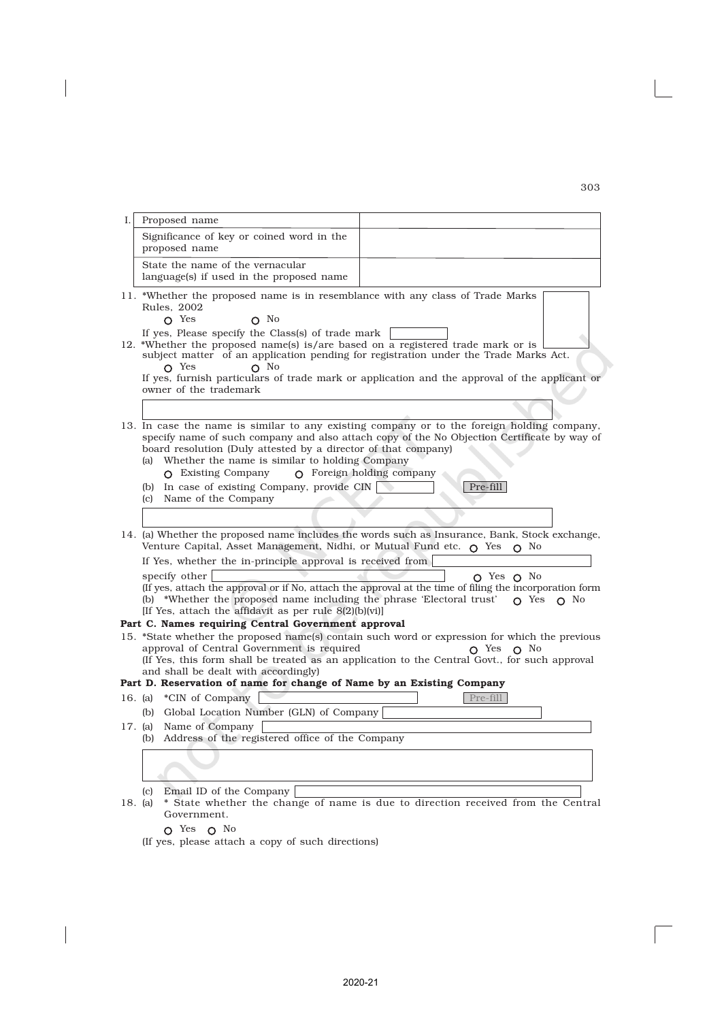| I.      | Proposed name                                                                                                                                                                                                                                                                                                                                                                                                                                                             |  |  |
|---------|---------------------------------------------------------------------------------------------------------------------------------------------------------------------------------------------------------------------------------------------------------------------------------------------------------------------------------------------------------------------------------------------------------------------------------------------------------------------------|--|--|
|         | Significance of key or coined word in the<br>proposed name                                                                                                                                                                                                                                                                                                                                                                                                                |  |  |
|         | State the name of the vernacular<br>language(s) if used in the proposed name                                                                                                                                                                                                                                                                                                                                                                                              |  |  |
|         | 11. *Whether the proposed name is in resemblance with any class of Trade Marks<br>Rules, 2002<br>$\Omega$ Yes<br>$\Omega$ No<br>If yes, Please specify the Class(s) of trade mark                                                                                                                                                                                                                                                                                         |  |  |
|         | 12. *Whether the proposed name(s) is/are based on a registered trade mark or is<br>subject matter of an application pending for registration under the Trade Marks Act.<br>$\Omega$ Yes<br>$\Omega$ No<br>If yes, furnish particulars of trade mark or application and the approval of the applicant or<br>owner of the trademark                                                                                                                                         |  |  |
|         |                                                                                                                                                                                                                                                                                                                                                                                                                                                                           |  |  |
|         | 13. In case the name is similar to any existing company or to the foreign holding company,<br>specify name of such company and also attach copy of the No Objection Certificate by way of<br>board resolution (Duly attested by a director of that company)<br>(a) Whether the name is similar to holding Company<br>$\Omega$ Foreign holding company<br>$\Omega$ Existing Company<br>(b) In case of existing Company, provide CIN<br>Pre-fill<br>(c) Name of the Company |  |  |
|         |                                                                                                                                                                                                                                                                                                                                                                                                                                                                           |  |  |
|         | 14. (a) Whether the proposed name includes the words such as Insurance, Bank, Stock exchange,<br>Venture Capital, Asset Management, Nidhi, or Mutual Fund etc. $\bigcap$ Yes $\bigcap$ No                                                                                                                                                                                                                                                                                 |  |  |
|         | If Yes, whether the in-principle approval is received from                                                                                                                                                                                                                                                                                                                                                                                                                |  |  |
|         | specify other<br>$O$ Yes $O$ No<br>(If yes, attach the approval or if No, attach the approval at the time of filing the incorporation form<br>(b) *Whether the proposed name including the phrase 'Electoral trust' $\circ$ Yes $\circ$ No<br>[If Yes, attach the affidavit as per rule $8(2)[b](vi)$ ]                                                                                                                                                                   |  |  |
|         | Part C. Names requiring Central Government approval                                                                                                                                                                                                                                                                                                                                                                                                                       |  |  |
|         | 15. *State whether the proposed name(s) contain such word or expression for which the previous<br>approval of Central Government is required<br>$\Omega$ Yes $\Omega$ No<br>(If Yes, this form shall be treated as an application to the Central Govt., for such approval<br>and shall be dealt with accordingly)<br>Part D. Reservation of name for change of Name by an Existing Company                                                                                |  |  |
|         | Pre-fill<br>16. (a) *CIN of Company                                                                                                                                                                                                                                                                                                                                                                                                                                       |  |  |
|         | (b) Global Location Number (GLN) of Company                                                                                                                                                                                                                                                                                                                                                                                                                               |  |  |
|         | 17. (a) Name of Company<br>(b) Address of the registered office of the Company                                                                                                                                                                                                                                                                                                                                                                                            |  |  |
|         |                                                                                                                                                                                                                                                                                                                                                                                                                                                                           |  |  |
| 18. (a) | Email ID of the Company<br>(c)<br>* State whether the change of name is due to direction received from the Central<br>Government.                                                                                                                                                                                                                                                                                                                                         |  |  |
|         | O Yes O No                                                                                                                                                                                                                                                                                                                                                                                                                                                                |  |  |

 $\overline{\phantom{a}}$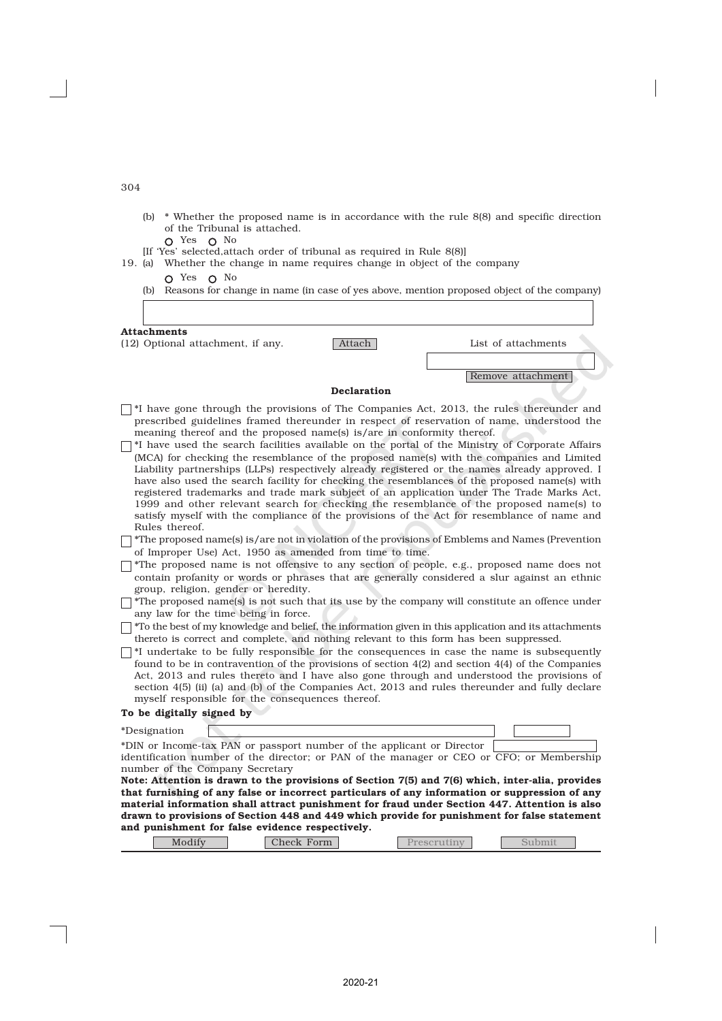| ۰,<br>×<br>×<br>۰.<br>٠<br>$\sim$<br>$\sim$ |  |
|---------------------------------------------|--|
|---------------------------------------------|--|

- (b) \* Whether the proposed name is in accordance with the rule 8(8) and specific direction of the Tribunal is attached.
- Yes **O** No [If 'Yes' selected,attach order of tribunal as required in Rule 8(8)]
- 19. (a) Whether the change in name requires change in object of the company
	- O Yes O No (b) Reasons for change in name (in case of yes above, mention proposed object of the company)

#### Attachments

(12) Optional attachment, if any. Attach List of attachments

Remove attachment

#### Declaration

- $\lceil$  \*I have gone through the provisions of The Companies Act, 2013, the rules thereunder and prescribed guidelines framed thereunder in respect of reservation of name, understood the meaning thereof and the proposed name(s) is/are in conformity thereof.
- $\lceil$  \*I have used the search facilities available on the portal of the Ministry of Corporate Affairs (MCA) for checking the resemblance of the proposed name(s) with the companies and Limited Liability partnerships (LLPs) respectively already registered or the names already approved. I have also used the search facility for checking the resemblances of the proposed name(s) with registered trademarks and trade mark subject of an application under The Trade Marks Act, 1999 and other relevant search for checking the resemblance of the proposed name(s) to satisfy myself with the compliance of the provisions of the Act for resemblance of name and Rules thereof.
- $\Box$  \*The proposed name(s) is/are not in violation of the provisions of Emblems and Names (Prevention of Improper Use) Act, 1950 as amended from time to time.
- $\Box$  \*The proposed name is not offensive to any section of people, e.g., proposed name does not contain profanity or words or phrases that are generally considered a slur against an ethnic group, religion, gender or heredity.
- $\Box$  \*The proposed name(s) is not such that its use by the company will constitute an offence under any law for the time being in force.
- $\Box$  \*To the best of my knowledge and belief, the information given in this application and its attachments thereto is correct and complete, and nothing relevant to this form has been suppressed.
- $\Box$ <sup>\*I</sup> undertake to be fully responsible for the consequences in case the name is subsequently found to be in contravention of the provisions of section 4(2) and section 4(4) of the Companies Act, 2013 and rules thereto and I have also gone through and understood the provisions of section 4(5) (ii) (a) and (b) of the Companies Act, 2013 and rules thereunder and fully declare myself responsible for the consequences thereof.

#### To be digitally signed by

| *Designation                                                                                    |  |  |
|-------------------------------------------------------------------------------------------------|--|--|
| *DIN or Income-tax PAN or passport number of the applicant or Director                          |  |  |
| identification number of the director; or PAN of the manager or CEO or CFO; or Membership       |  |  |
| number of the Company Secretary                                                                 |  |  |
| Note: Attention is drawn to the provisions of Section 7(5) and 7(6) which, inter-alia, provides |  |  |
| that furnishing of any false or incorrect particulars of any information or suppression of any  |  |  |
| material information shall attract punishment for fraud under Section 447. Attention is also    |  |  |
| drawn to provisions of Section 448 and 449 which provide for punishment for false statement     |  |  |
| and punishment for false evidence respectively.                                                 |  |  |
|                                                                                                 |  |  |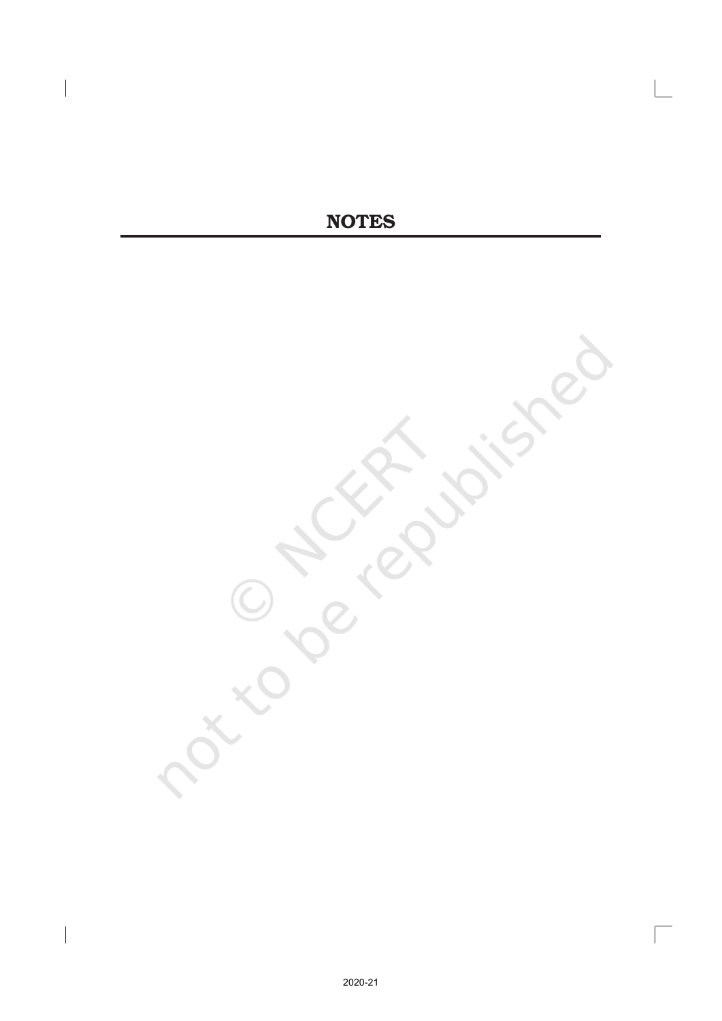# **NOTES**

 $\Box$ 

 $\overline{\phantom{a}}$ 

 $\begin{array}{c} \hline \end{array}$